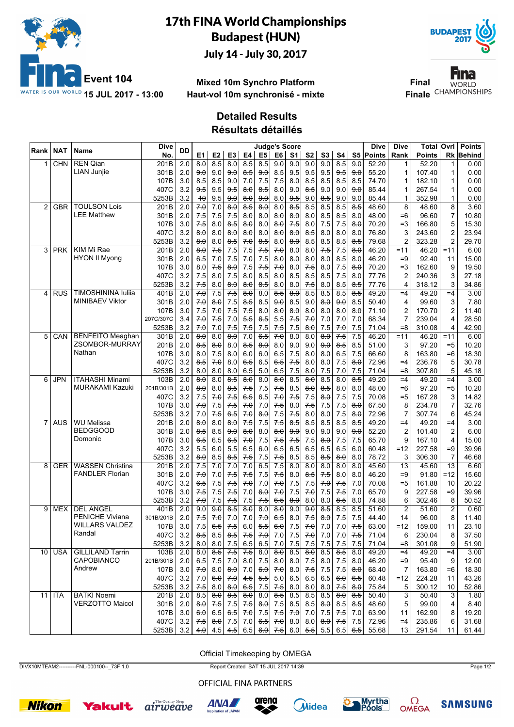

# 17th FINA World Championships Budapest (HUN)

July 14 - July 30, 2017



Fina **Final WORLD Finale** CHAMPIONSHIPS

### **Mixed 10m Synchro Platform Haut-vol 10m synchronisé - mixte**

### **Detailed Results**

**Résultats détaillés**

| S5 Points<br>$\overline{8.5}$<br>$\overline{8.5}$<br>$\overline{9.0}$<br>$\overline{8.5}$<br>$\overline{9.0}$<br><b>REN Qian</b><br>201B<br>2.0<br>$\overline{8.0}$<br>8.0<br>8.5<br>9.0<br>9.0<br>9.0<br>52.20<br>52.20<br><b>CHN</b><br>0.00<br>1<br>1<br><b>LIAN Junjie</b><br>301B<br>2.0<br>9.0<br>9.0<br>8.5<br>9.5<br>9.5<br>9.5<br>55.20<br>107.40<br>1<br>0.00<br><del>9.0</del><br>$8-5$<br>9.0<br>9.5<br>9.0<br>1<br>7.5<br>107B<br>3.0<br>8.5<br>9.0<br>7.0<br>7.5<br>8.0<br>8.5<br>8.5<br>8.5<br>8.5<br>74.70<br>182.10<br>0.00<br>8.5<br>1<br>1<br>3.2<br>8.5<br>9.5<br>9.5<br>9.5<br>8.0<br>8.0<br>9.0<br>8.5<br>9.0<br>9.0<br>9.0<br>85.44<br>267.54<br>1<br>0.00<br>407C<br>1<br>3.2<br>9.5<br>85.44<br>352.98<br>0.00<br>5253B<br>9.5<br>9.0<br>$\theta$ . $\theta$<br>9.0<br>8.0<br>9.0<br>8.5<br>9.0<br>9.0<br>1<br>40<br>1<br><b>TOULSON Lois</b><br>8.5<br>$\overline{2.0}$<br>70<br>$\overline{8.0}$<br>$\overline{8.5}$<br>$\overline{8.0}$<br>8.0<br>8.5<br>8.5<br>8.5<br>$\overline{8.5}$<br>48.60<br>8<br>3.60<br><b>GBR</b><br>201B<br>7.0<br>8<br>48.60<br>2<br><b>LEE Matthew</b><br>$\overline{7}$<br>7.5<br>2.0<br>7.5<br>8.0<br>8.0<br>8.0<br>8.0<br>8.5<br>8.5<br>8.0<br>48.00<br>$=6$<br>96.60<br>10.80<br>301B<br>75<br>8.0<br>3.0<br>5<br>107B<br>8.0<br>7.5<br>7.5<br>7.5<br>$\theta$ . $\theta$<br>70.20<br>$=3$<br>166.80<br>15.30<br>75<br>8.0<br>8.5<br>$\theta$ . $\theta$<br>$\theta$ . $\theta$<br>8.0<br>407C<br>3.2<br>8.0<br>8.0<br>8.0<br>8.0<br>8.0<br>8.5<br>8.0<br>8.0<br>8.0<br>76.80<br>3<br>243.60<br>2<br>23.94<br>8.0<br>8.0<br>3.2<br>$\overline{2}$<br>$\overline{2}$<br>8.5<br>7.0<br>8.5<br>8.0<br>8.0<br>8.5<br>8.5<br>8.5<br>8.5<br>79.68<br>323.28<br>5253B<br>8.0<br>8.0<br>29.70<br>KIM Mi Rae<br>2.0<br>7.5<br>7.5<br>7.0<br>7.5<br>3<br><b>PRK</b><br>201B<br>7.5<br>7.5<br>8.0<br>8.0<br>7.5<br>$\theta$ . $\theta$<br>46.20<br>$=11$<br>46.20<br>$=11$<br>6.00<br>$\theta$ . $\theta$<br><b>HYON II Myong</b><br>301B<br>7.5<br>7.0<br>7.5<br>8.0<br>8.5<br>8.0<br>46.20<br>$=9$<br>92.40<br>15.00<br>2.0<br>6.5<br>7.0<br>8.0<br>8.0<br>8.0<br>11<br>3.0<br>7.5<br>7.5<br>7.0<br>7.5<br>7.5<br>7.5<br>8.0<br>8.0<br>8.0<br>70.20<br>$=3$<br>162.60<br>19.50<br>107B<br>8.0<br>8.0<br>9<br>3<br>407C<br>3.2<br>8.5<br>7.5<br>8.0<br>77.76<br>$\overline{2}$<br>27.18<br>75<br>$\theta$ . $\theta$<br>7.5<br>$\theta$ . $\theta$<br>$8-5$<br>8.0<br>8.5<br><del>8.5</del><br>240.36<br>5253B<br>3.2<br>7.5<br>8.0<br>8.5<br>8.0<br>7.5<br>8.5<br>8.5<br>77.76<br>318.12<br>3<br>34.86<br>8.0<br>8.0<br>8.0<br>8.0<br>4<br><b>TIMOSHININA lulija</b><br>2.0<br>70<br>7.5<br>$\overline{8.5}$<br>$\overline{8.0}$<br>8.5<br>$\overline{8.5}$<br>401B<br>$\overline{7.5}$<br>$\overline{8.0}$<br>8.0<br>8.5<br>8.5<br>49.20<br>$=4$<br>3.00<br><b>RUS</b><br>$=4$<br>49.20<br>4<br><b>MINIBAEV Viktor</b><br>301B<br>2.0<br>7.5<br>8.5<br>50.40<br>$\overline{4}$<br>99.60<br>3<br>7.80<br>$\theta$ . $\theta$<br>$8-5$<br>8.5<br>9.0<br>9.0<br>$\theta$ . $\theta$<br>9.0<br>8.5<br>7.0<br>7.5<br>107B<br>3.0<br>7.5<br>8.0<br>8.0<br>8.0<br>8.0<br>8.0<br>8.0<br>71.10<br>$\overline{c}$<br>170.70<br>2<br>11.40<br>7.5<br>7.0<br>8.0<br>5.5<br>6.5<br>$\overline{7}$<br>3.4<br>7.5<br>7.0<br>5.5<br>7.5<br>70<br>7.0<br>7.0<br>7.0<br>68.34<br>239.04<br>4<br>28.50<br>207C/307C<br>7.0<br>3.2<br>7.5<br>7.5<br>71.04<br>$= 8$<br>4<br>42.90<br>5253B<br>70<br>7.0<br>7.5<br>7.5<br>7.5<br>7.5<br>$\theta$ . $\theta$<br>7.5<br>70<br>310.08<br>6.5<br>70<br><b>BENFEITO Meaghan</b><br>$\overline{2.0}$<br>$\overline{8.0}$<br>7.0<br>$\overline{8.0}$<br>$7-5$<br>7.5<br>46.20<br>5<br>301B<br>8.0<br>8.0<br>8.0<br>$\theta$ . $\theta$<br>$= 11$<br>46.20<br>6.00<br>CAN<br>$=11$<br>ZSOMBOR-MURRAY<br>2.0<br>8.5<br>8.0<br>8.0<br>9.0<br>9.0<br>9.0<br>8.5<br>8.5<br>51.00<br>3<br>10.20<br>201B<br>85<br>8.0<br>8.0<br>97.20<br>$= 5$<br>Nathan<br>107B<br>3.0<br>8.0<br>7.5<br>6.5<br>7.5<br>66.60<br>8<br>163.80<br>18.30<br>8.0<br>75<br>6.0<br>6.0<br>65<br>8.0<br>$\theta$ . $\theta$<br>$= 6$<br>407C<br>3.2<br>8.5<br>8.0<br>6.5<br>7.5<br>8.0<br>7.5<br>8.0<br>72.96<br>$=4$<br>236.76<br>5<br>30.78<br>7.0<br>6.5<br>6.5<br>8.0<br>3.2<br>7.5<br>7.5<br>5<br>8.0<br>8.0<br>8.0<br>6.5<br>5.0<br>6.5<br>8.0<br>7.5<br>7.0<br>71.04<br>$= 8$<br>307.80<br>5253B<br>45.18<br><b>ITAHASHI Minami</b><br>2.0<br>8.5<br>8.0<br>3.00<br>6<br>JPN<br>103B<br>0.6<br>8.0<br>8.5<br>8.0<br>8.0<br>8.0<br>$\theta$ . $\theta$<br>8.5<br>8.5<br>49.20<br>$=4$<br>49.20<br>$=4$<br><b>MURAKAMI Kazuki</b><br>2.0<br>7.5<br>7.5<br>7.5<br>8.5<br>8.5<br>8.0<br>8.0<br>48.00<br>$=6$<br>97.20<br>$= 5$<br>10.20<br>201B/301B<br>୫.Օ<br>8.0<br>$8-5$<br>8.0<br>3.2<br>6.5<br>6.5<br>7.5<br>7.5<br>7.5<br>$= 5$<br>7.5<br>7.5<br>70<br>7.5<br>70.08<br>167.28<br>3<br>14.82<br>407C<br>7.0<br>8.0<br>$\overline{7}$<br>107B<br>3.0<br>70<br>7.0<br>7.5<br>8.0<br>7.5<br>7.5<br>7.5<br>8.0<br>67.50<br>8<br>234.78<br>32.76<br>7.0<br>7.5<br>7.5<br>7.5<br>5253B<br>3.2<br>7.5<br>6.5<br>7.0<br>8.0<br>7.5<br>7.5<br>72.96<br>7<br>307.74<br>6<br>45.24<br>7.0<br>8.0<br>8.0<br>8.0<br>2.0<br>8.0<br>8.0<br>7.5<br>7.5<br>8.5<br><b>WU Melissa</b><br>$\overline{8.0}$<br>7.5<br>8.5<br>8.5<br>8.5<br>$\overline{8.5}$<br>49.20<br>$=4$<br>3.00<br>7<br><b>AUS</b><br>201B<br>49.20<br>$=4$<br><b>BEDGGOOD</b><br>$\overline{2}$<br>301B<br>2.0<br>8.0<br>9.0<br>9.0<br>52.20<br>$\overline{2}$<br>6.00<br><del>8.5</del><br>8.5<br>9.0<br>$\theta$ . $\theta$<br>8.0<br>9.0<br>9.0<br>9.0<br>101.40<br>Domonic<br>7.5<br>$7-5$<br>107B<br>3.0<br>6.5<br>6.5<br>6.5<br>7.0<br>7.5<br>7.5<br>7.5<br>7.5<br>65.70<br>167.10<br>4<br>15.00<br>$\theta$ . $\theta$<br>9<br>3.2<br>6.5<br>5.5<br>$6.\theta$<br>5.5<br>6.5<br>6.0<br>6.5<br>6.5<br>6.5<br>6.5<br>6.0<br>60.48<br>$=12$<br>227.58<br>39.96<br>407C<br>$=9$<br>3.2<br>8.5<br>8.0<br>78.72<br>3<br>306.30<br>$\overline{7}$<br>46.68<br>5253B<br>$\theta$ . $\theta$<br>8.5<br>$8-5$<br>7.5<br>7.5<br>7.5<br>8.5<br>8.5<br>8.0<br>7.5<br><b>WASSEN Christina</b><br>2.0<br>70<br>7.0<br>$6-5$<br>$\overline{8.0}$<br>45.60<br><b>GER</b><br>201B<br>7.5<br>7.0<br>8.0<br>8.0<br>8.0<br>8.0<br>13<br>45.60<br>13<br>6.60<br>8<br><b>FANDLER Florian</b><br>7.5<br>2.0<br>7.5<br>7.5<br>7.5<br>8.0<br>7.5<br>8.0<br>8.0<br>46.20<br>$=9$<br>15.60<br>301B<br>7.0<br>7.0<br>8.5<br>91.80<br>$=12$<br>407C<br>3.2<br>70<br>7.5<br>7.5<br>7.0<br>70.08<br>20.22<br>6.5<br>7.5<br>7.5<br>7.0<br>70<br>7.5<br>7.0<br>$= 5$<br>161.88<br>10<br>107B<br>7.5<br>6.0<br>7.0<br>7.5<br>$7-5$<br>65.70<br>9<br>$=9$<br>39.96<br>3.0<br>7.5<br>7.5<br>7.0<br>7.0<br>7.5<br>7.0<br>227.58<br>3.2<br>7.5<br>8.0<br>8.0<br>8.5<br>8.0<br>6<br>8<br>5253B<br>7.0<br>7.5<br>7.5<br>7.5<br>6.5<br>8.0<br>74.88<br>302.46<br>50.52<br><b>DEL ANGEL</b><br>2.0<br>$\overline{8.5}$<br>$\overline{2}$<br>$\overline{2}$<br>9<br><b>MEX</b><br>401B<br>9.0<br>8.0<br>8.0<br>8.0<br>9.0<br>9.0<br>8.5<br>8.5<br>51.60<br>0.60<br>9.0<br>85<br>51.60<br><b>PENICHE Viviana</b><br>2.0<br>8.0<br>7.5<br>7.5<br>14<br>8<br>11.40<br>301B/201B<br>7.5<br>70<br>7.0<br>7.0<br>70<br>65<br>7.5<br>$\theta$ . $\theta$<br>44.40<br>96.00<br><b>WILLARS VALDEZ</b><br>3.0<br>7.5<br>5.5<br>70<br>107B<br>7.5<br>6.5<br>6.0<br>6.0<br>7.5<br>7.0<br>7.0<br>$7-5$<br>63.00<br>=12<br>159.00<br>23.10<br>11<br>Randal<br>230.04<br>407C<br>$3.2$   $8.5$<br>$7.0$ 7.0<br>$7.0$ 7.0<br>71.04<br>37.50<br>8.5<br>8.5<br>7.5<br>7.5<br>7.0<br>7.5<br>6<br>8<br>5253B<br>3.2<br>9<br>51.90<br>8.0<br>$\theta$ . $\theta$<br>7.5<br>6.5<br>6.5<br>7.0<br>7.5<br>7.5<br>7.5<br>7.5<br>7.5<br>71.04<br>$=8$<br>301.08<br>$\overline{85}$<br>7.5<br>$7-5$<br>$\overline{8.0}$<br>$\overline{85}$<br>$10$ USA<br><b>GILLILAND Tarrin</b><br>103B<br>2.0<br>8.0<br>8.5<br>8.0<br>8.5<br>49.20<br>49.20<br>3.00<br>8.0<br>8.0<br>$=4$<br>$=4$<br><b>CAPOBIANCO</b><br>2.0<br>95.40<br>201B/301B<br>$6-5$<br>7.5<br>7.0<br>8.0<br>$7-5$<br>8.0<br>8.0<br>8.0<br>7.5<br>46.20<br>9<br>12.00<br>7.5<br>8.0<br>$=9$<br>Andrew<br>107B<br>7.0<br>6.0<br>7.0<br>7.5<br>7.5<br>$7.5$<br>68.40<br>$\overline{7}$<br>163.80<br>18.30<br>3.0<br>8.0<br>$\theta$ . $\theta$<br>7.0<br>8.0<br>$\theta$ . $\theta$<br>$=6$<br>407C<br>7.0<br>4.5<br>5.5<br>6.5<br>60.48<br>3.2<br>7.0<br>6.0<br>5.0<br>6.5<br>6.5<br>6.5<br>6.0<br>$=12$<br>224.28<br>43.26<br>11<br>5253B<br>52.86<br>3.2<br>75.84<br>5<br>300.12<br>7.5<br>8.0<br>$\theta$ . $\theta$<br>6.5<br>7.5<br>7.5<br>8.0<br>8.0<br>8.0<br>7.5<br>8.0<br>10<br><b>BATKI Noemi</b><br>$\overline{8.5}$<br>$\overline{8.5}$<br>201B<br>$\overline{2.0}$<br>8.5<br>$\theta$ $\theta$<br>8.0<br>8.5<br>8.5<br>8.5<br>$\theta$ . $\theta$<br>8.5<br>50.40<br>3<br>3<br>11<br>ITA<br>$\theta$ $\theta$<br>50.40<br>1.80<br><b>VERZOTTO Maicol</b><br>301B<br>5<br>2.0<br>80<br>$7-5$<br>7.5<br>7.5<br>$\theta$ . $\theta$<br>7.5<br>8.5<br>8.5<br>8.0<br>8.5<br>8.5<br>48.60<br>99.00<br>4<br>8.40<br>107B<br>3.0<br>19.20<br>6.0<br>6.5<br>6.5<br>7.0<br>7.5<br>7.5<br>7.0<br>7.5<br>$7-5$<br>7.0<br>63.90<br>162.90<br>8<br>7.0<br>11<br>407C<br>7.5<br>6.5<br>7.5<br>72.96<br>235.86<br>31.68<br>3.2<br>$\theta$ . $\theta$<br>7.5<br>7.0<br>7.0<br>8.0<br>8.0<br>$\theta$ : $\theta$<br>7.5<br>6<br>$=4$<br>5253B<br>6.0<br>7.5<br>6.0 $\left  5.5 \right $<br>5.5<br>55.68<br>3.2<br>40<br>4.5<br>4.5<br>6.5<br>6.5<br>6.5<br>13<br>291.54<br>61.44<br>11 | Rank | NAT | Name | Dive | DD |    |                |                |    | <b>Judge's Score</b> |    |                |                |    |    | Dive | Dive | Total  | <b>Ovrl</b> | <b>Points</b> |
|--------------------------------------------------------------------------------------------------------------------------------------------------------------------------------------------------------------------------------------------------------------------------------------------------------------------------------------------------------------------------------------------------------------------------------------------------------------------------------------------------------------------------------------------------------------------------------------------------------------------------------------------------------------------------------------------------------------------------------------------------------------------------------------------------------------------------------------------------------------------------------------------------------------------------------------------------------------------------------------------------------------------------------------------------------------------------------------------------------------------------------------------------------------------------------------------------------------------------------------------------------------------------------------------------------------------------------------------------------------------------------------------------------------------------------------------------------------------------------------------------------------------------------------------------------------------------------------------------------------------------------------------------------------------------------------------------------------------------------------------------------------------------------------------------------------------------------------------------------------------------------------------------------------------------------------------------------------------------------------------------------------------------------------------------------------------------------------------------------------------------------------------------------------------------------------------------------------------------------------------------------------------------------------------------------------------------------------------------------------------------------------------------------------------------------------------------------------------------------------------------------------------------------------------------------------------------------------------------------------------------------------------------------------------------------------------------------------------------------------------------------------------------------------------------------------------------------------------------------------------------------------------------------------------------------------------------------------------------------------------------------------------------------------------------------------------------------------------------------------------------------------------------------------------------------------------------------------------------------------------------------------------------------------------------------------------------------------------------------------------------------------------------------------------------------------------------------------------------------------------------------------------------------------------------------------------------------------------------------------------------------------------------------------------------------------------------------------------------------------------------------------------------------------------------------------------------------------------------------------------------------------------------------------------------------------------------------------------------------------------------------------------------------------------------------------------------------------------------------------------------------------------------------------------------------------------------------------------------------------------------------------------------------------------------------------------------------------------------------------------------------------------------------------------------------------------------------------------------------------------------------------------------------------------------------------------------------------------------------------------------------------------------------------------------------------------------------------------------------------------------------------------------------------------------------------------------------------------------------------------------------------------------------------------------------------------------------------------------------------------------------------------------------------------------------------------------------------------------------------------------------------------------------------------------------------------------------------------------------------------------------------------------------------------------------------------------------------------------------------------------------------------------------------------------------------------------------------------------------------------------------------------------------------------------------------------------------------------------------------------------------------------------------------------------------------------------------------------------------------------------------------------------------------------------------------------------------------------------------------------------------------------------------------------------------------------------------------------------------------------------------------------------------------------------------------------------------------------------------------------------------------------------------------------------------------------------------------------------------------------------------------------------------------------------------------------------------------------------------------------------------------------------------------------------------------------------------------------------------------------------------------------------------------------------------------------------------------------------------------------------------------------------------------------------------------------------------------------------------------------------------------------------------------------------------------------------------------------------------------------------------------------------------------------------------------------------------------------------------------------------------------------------------------------------------------------------------------------------------------------------------------------------------------------------------------------------------------------------------------------------------------------------------------------------------------------------------------------------------------------------------------------------------------------------------------------------------------------------------------------------------------------------------------------------------------------------------------------------------------------------------------------------------------------------------------------------------------------------------------------------------------------------------------------------------------------------------------------------------------------------------------------------------------------------------------------------------------------------------------------------------------------------------------------------------------------------------------------------------------------------------------------------------------------------------------------------------------------------------------------------------------------------------------------------------------------------------------------------------------------------------------------------------------------------------------------------------------------------------------------------------------------------------------------------------------------------------------------------------------------------------------------------------------------------------------------------------------------------------------------------------------------------------------------------------------------------------------------------------------------------------------------------------------------------------------------------------------------------------------------------------------------------------------------------------------------------------------------------------------------------------------------------------------------------------------------------------------------------------------------------------------------------------------------------------------------------------------------------------------------------------------------------------------------------------------------------------------------------------|------|-----|------|------|----|----|----------------|----------------|----|----------------------|----|----------------|----------------|----|----|------|------|--------|-------------|---------------|
|                                                                                                                                                                                                                                                                                                                                                                                                                                                                                                                                                                                                                                                                                                                                                                                                                                                                                                                                                                                                                                                                                                                                                                                                                                                                                                                                                                                                                                                                                                                                                                                                                                                                                                                                                                                                                                                                                                                                                                                                                                                                                                                                                                                                                                                                                                                                                                                                                                                                                                                                                                                                                                                                                                                                                                                                                                                                                                                                                                                                                                                                                                                                                                                                                                                                                                                                                                                                                                                                                                                                                                                                                                                                                                                                                                                                                                                                                                                                                                                                                                                                                                                                                                                                                                                                                                                                                                                                                                                                                                                                                                                                                                                                                                                                                                                                                                                                                                                                                                                                                                                                                                                                                                                                                                                                                                                                                                                                                                                                                                                                                                                                                                                                                                                                                                                                                                                                                                                                                                                                                                                                                                                                                                                                                                                                                                                                                                                                                                                                                                                                                                                                                                                                                                                                                                                                                                                                                                                                                                                                                                                                                                                                                                                                                                                                                                                                                                                                                                                                                                                                                                                                                                                                                                                                                                                                                                                                                                                                                                                                                                                                                                                                                                                                                                                                                                                                                                                                                                                                                                                                                                                                                                                                                                                                                                                                                                                                                                                                                                                                                                                                                                                                                                                                                                                                                                                                                                                                                                                                                |      |     |      | No   |    | E1 | E <sub>2</sub> | E <sub>3</sub> | E4 | E <sub>5</sub>       | E6 | S <sub>1</sub> | S <sub>2</sub> | S3 | S4 |      | Rank | Points | Rk          | Behind        |
|                                                                                                                                                                                                                                                                                                                                                                                                                                                                                                                                                                                                                                                                                                                                                                                                                                                                                                                                                                                                                                                                                                                                                                                                                                                                                                                                                                                                                                                                                                                                                                                                                                                                                                                                                                                                                                                                                                                                                                                                                                                                                                                                                                                                                                                                                                                                                                                                                                                                                                                                                                                                                                                                                                                                                                                                                                                                                                                                                                                                                                                                                                                                                                                                                                                                                                                                                                                                                                                                                                                                                                                                                                                                                                                                                                                                                                                                                                                                                                                                                                                                                                                                                                                                                                                                                                                                                                                                                                                                                                                                                                                                                                                                                                                                                                                                                                                                                                                                                                                                                                                                                                                                                                                                                                                                                                                                                                                                                                                                                                                                                                                                                                                                                                                                                                                                                                                                                                                                                                                                                                                                                                                                                                                                                                                                                                                                                                                                                                                                                                                                                                                                                                                                                                                                                                                                                                                                                                                                                                                                                                                                                                                                                                                                                                                                                                                                                                                                                                                                                                                                                                                                                                                                                                                                                                                                                                                                                                                                                                                                                                                                                                                                                                                                                                                                                                                                                                                                                                                                                                                                                                                                                                                                                                                                                                                                                                                                                                                                                                                                                                                                                                                                                                                                                                                                                                                                                                                                                                                                                |      |     |      |      |    |    |                |                |    |                      |    |                |                |    |    |      |      |        |             |               |
|                                                                                                                                                                                                                                                                                                                                                                                                                                                                                                                                                                                                                                                                                                                                                                                                                                                                                                                                                                                                                                                                                                                                                                                                                                                                                                                                                                                                                                                                                                                                                                                                                                                                                                                                                                                                                                                                                                                                                                                                                                                                                                                                                                                                                                                                                                                                                                                                                                                                                                                                                                                                                                                                                                                                                                                                                                                                                                                                                                                                                                                                                                                                                                                                                                                                                                                                                                                                                                                                                                                                                                                                                                                                                                                                                                                                                                                                                                                                                                                                                                                                                                                                                                                                                                                                                                                                                                                                                                                                                                                                                                                                                                                                                                                                                                                                                                                                                                                                                                                                                                                                                                                                                                                                                                                                                                                                                                                                                                                                                                                                                                                                                                                                                                                                                                                                                                                                                                                                                                                                                                                                                                                                                                                                                                                                                                                                                                                                                                                                                                                                                                                                                                                                                                                                                                                                                                                                                                                                                                                                                                                                                                                                                                                                                                                                                                                                                                                                                                                                                                                                                                                                                                                                                                                                                                                                                                                                                                                                                                                                                                                                                                                                                                                                                                                                                                                                                                                                                                                                                                                                                                                                                                                                                                                                                                                                                                                                                                                                                                                                                                                                                                                                                                                                                                                                                                                                                                                                                                                                                |      |     |      |      |    |    |                |                |    |                      |    |                |                |    |    |      |      |        |             |               |
|                                                                                                                                                                                                                                                                                                                                                                                                                                                                                                                                                                                                                                                                                                                                                                                                                                                                                                                                                                                                                                                                                                                                                                                                                                                                                                                                                                                                                                                                                                                                                                                                                                                                                                                                                                                                                                                                                                                                                                                                                                                                                                                                                                                                                                                                                                                                                                                                                                                                                                                                                                                                                                                                                                                                                                                                                                                                                                                                                                                                                                                                                                                                                                                                                                                                                                                                                                                                                                                                                                                                                                                                                                                                                                                                                                                                                                                                                                                                                                                                                                                                                                                                                                                                                                                                                                                                                                                                                                                                                                                                                                                                                                                                                                                                                                                                                                                                                                                                                                                                                                                                                                                                                                                                                                                                                                                                                                                                                                                                                                                                                                                                                                                                                                                                                                                                                                                                                                                                                                                                                                                                                                                                                                                                                                                                                                                                                                                                                                                                                                                                                                                                                                                                                                                                                                                                                                                                                                                                                                                                                                                                                                                                                                                                                                                                                                                                                                                                                                                                                                                                                                                                                                                                                                                                                                                                                                                                                                                                                                                                                                                                                                                                                                                                                                                                                                                                                                                                                                                                                                                                                                                                                                                                                                                                                                                                                                                                                                                                                                                                                                                                                                                                                                                                                                                                                                                                                                                                                                                                                |      |     |      |      |    |    |                |                |    |                      |    |                |                |    |    |      |      |        |             |               |
|                                                                                                                                                                                                                                                                                                                                                                                                                                                                                                                                                                                                                                                                                                                                                                                                                                                                                                                                                                                                                                                                                                                                                                                                                                                                                                                                                                                                                                                                                                                                                                                                                                                                                                                                                                                                                                                                                                                                                                                                                                                                                                                                                                                                                                                                                                                                                                                                                                                                                                                                                                                                                                                                                                                                                                                                                                                                                                                                                                                                                                                                                                                                                                                                                                                                                                                                                                                                                                                                                                                                                                                                                                                                                                                                                                                                                                                                                                                                                                                                                                                                                                                                                                                                                                                                                                                                                                                                                                                                                                                                                                                                                                                                                                                                                                                                                                                                                                                                                                                                                                                                                                                                                                                                                                                                                                                                                                                                                                                                                                                                                                                                                                                                                                                                                                                                                                                                                                                                                                                                                                                                                                                                                                                                                                                                                                                                                                                                                                                                                                                                                                                                                                                                                                                                                                                                                                                                                                                                                                                                                                                                                                                                                                                                                                                                                                                                                                                                                                                                                                                                                                                                                                                                                                                                                                                                                                                                                                                                                                                                                                                                                                                                                                                                                                                                                                                                                                                                                                                                                                                                                                                                                                                                                                                                                                                                                                                                                                                                                                                                                                                                                                                                                                                                                                                                                                                                                                                                                                                                                |      |     |      |      |    |    |                |                |    |                      |    |                |                |    |    |      |      |        |             |               |
|                                                                                                                                                                                                                                                                                                                                                                                                                                                                                                                                                                                                                                                                                                                                                                                                                                                                                                                                                                                                                                                                                                                                                                                                                                                                                                                                                                                                                                                                                                                                                                                                                                                                                                                                                                                                                                                                                                                                                                                                                                                                                                                                                                                                                                                                                                                                                                                                                                                                                                                                                                                                                                                                                                                                                                                                                                                                                                                                                                                                                                                                                                                                                                                                                                                                                                                                                                                                                                                                                                                                                                                                                                                                                                                                                                                                                                                                                                                                                                                                                                                                                                                                                                                                                                                                                                                                                                                                                                                                                                                                                                                                                                                                                                                                                                                                                                                                                                                                                                                                                                                                                                                                                                                                                                                                                                                                                                                                                                                                                                                                                                                                                                                                                                                                                                                                                                                                                                                                                                                                                                                                                                                                                                                                                                                                                                                                                                                                                                                                                                                                                                                                                                                                                                                                                                                                                                                                                                                                                                                                                                                                                                                                                                                                                                                                                                                                                                                                                                                                                                                                                                                                                                                                                                                                                                                                                                                                                                                                                                                                                                                                                                                                                                                                                                                                                                                                                                                                                                                                                                                                                                                                                                                                                                                                                                                                                                                                                                                                                                                                                                                                                                                                                                                                                                                                                                                                                                                                                                                                                |      |     |      |      |    |    |                |                |    |                      |    |                |                |    |    |      |      |        |             |               |
|                                                                                                                                                                                                                                                                                                                                                                                                                                                                                                                                                                                                                                                                                                                                                                                                                                                                                                                                                                                                                                                                                                                                                                                                                                                                                                                                                                                                                                                                                                                                                                                                                                                                                                                                                                                                                                                                                                                                                                                                                                                                                                                                                                                                                                                                                                                                                                                                                                                                                                                                                                                                                                                                                                                                                                                                                                                                                                                                                                                                                                                                                                                                                                                                                                                                                                                                                                                                                                                                                                                                                                                                                                                                                                                                                                                                                                                                                                                                                                                                                                                                                                                                                                                                                                                                                                                                                                                                                                                                                                                                                                                                                                                                                                                                                                                                                                                                                                                                                                                                                                                                                                                                                                                                                                                                                                                                                                                                                                                                                                                                                                                                                                                                                                                                                                                                                                                                                                                                                                                                                                                                                                                                                                                                                                                                                                                                                                                                                                                                                                                                                                                                                                                                                                                                                                                                                                                                                                                                                                                                                                                                                                                                                                                                                                                                                                                                                                                                                                                                                                                                                                                                                                                                                                                                                                                                                                                                                                                                                                                                                                                                                                                                                                                                                                                                                                                                                                                                                                                                                                                                                                                                                                                                                                                                                                                                                                                                                                                                                                                                                                                                                                                                                                                                                                                                                                                                                                                                                                                                                |      |     |      |      |    |    |                |                |    |                      |    |                |                |    |    |      |      |        |             |               |
|                                                                                                                                                                                                                                                                                                                                                                                                                                                                                                                                                                                                                                                                                                                                                                                                                                                                                                                                                                                                                                                                                                                                                                                                                                                                                                                                                                                                                                                                                                                                                                                                                                                                                                                                                                                                                                                                                                                                                                                                                                                                                                                                                                                                                                                                                                                                                                                                                                                                                                                                                                                                                                                                                                                                                                                                                                                                                                                                                                                                                                                                                                                                                                                                                                                                                                                                                                                                                                                                                                                                                                                                                                                                                                                                                                                                                                                                                                                                                                                                                                                                                                                                                                                                                                                                                                                                                                                                                                                                                                                                                                                                                                                                                                                                                                                                                                                                                                                                                                                                                                                                                                                                                                                                                                                                                                                                                                                                                                                                                                                                                                                                                                                                                                                                                                                                                                                                                                                                                                                                                                                                                                                                                                                                                                                                                                                                                                                                                                                                                                                                                                                                                                                                                                                                                                                                                                                                                                                                                                                                                                                                                                                                                                                                                                                                                                                                                                                                                                                                                                                                                                                                                                                                                                                                                                                                                                                                                                                                                                                                                                                                                                                                                                                                                                                                                                                                                                                                                                                                                                                                                                                                                                                                                                                                                                                                                                                                                                                                                                                                                                                                                                                                                                                                                                                                                                                                                                                                                                                                                |      |     |      |      |    |    |                |                |    |                      |    |                |                |    |    |      |      |        |             |               |
|                                                                                                                                                                                                                                                                                                                                                                                                                                                                                                                                                                                                                                                                                                                                                                                                                                                                                                                                                                                                                                                                                                                                                                                                                                                                                                                                                                                                                                                                                                                                                                                                                                                                                                                                                                                                                                                                                                                                                                                                                                                                                                                                                                                                                                                                                                                                                                                                                                                                                                                                                                                                                                                                                                                                                                                                                                                                                                                                                                                                                                                                                                                                                                                                                                                                                                                                                                                                                                                                                                                                                                                                                                                                                                                                                                                                                                                                                                                                                                                                                                                                                                                                                                                                                                                                                                                                                                                                                                                                                                                                                                                                                                                                                                                                                                                                                                                                                                                                                                                                                                                                                                                                                                                                                                                                                                                                                                                                                                                                                                                                                                                                                                                                                                                                                                                                                                                                                                                                                                                                                                                                                                                                                                                                                                                                                                                                                                                                                                                                                                                                                                                                                                                                                                                                                                                                                                                                                                                                                                                                                                                                                                                                                                                                                                                                                                                                                                                                                                                                                                                                                                                                                                                                                                                                                                                                                                                                                                                                                                                                                                                                                                                                                                                                                                                                                                                                                                                                                                                                                                                                                                                                                                                                                                                                                                                                                                                                                                                                                                                                                                                                                                                                                                                                                                                                                                                                                                                                                                                                                |      |     |      |      |    |    |                |                |    |                      |    |                |                |    |    |      |      |        |             |               |
|                                                                                                                                                                                                                                                                                                                                                                                                                                                                                                                                                                                                                                                                                                                                                                                                                                                                                                                                                                                                                                                                                                                                                                                                                                                                                                                                                                                                                                                                                                                                                                                                                                                                                                                                                                                                                                                                                                                                                                                                                                                                                                                                                                                                                                                                                                                                                                                                                                                                                                                                                                                                                                                                                                                                                                                                                                                                                                                                                                                                                                                                                                                                                                                                                                                                                                                                                                                                                                                                                                                                                                                                                                                                                                                                                                                                                                                                                                                                                                                                                                                                                                                                                                                                                                                                                                                                                                                                                                                                                                                                                                                                                                                                                                                                                                                                                                                                                                                                                                                                                                                                                                                                                                                                                                                                                                                                                                                                                                                                                                                                                                                                                                                                                                                                                                                                                                                                                                                                                                                                                                                                                                                                                                                                                                                                                                                                                                                                                                                                                                                                                                                                                                                                                                                                                                                                                                                                                                                                                                                                                                                                                                                                                                                                                                                                                                                                                                                                                                                                                                                                                                                                                                                                                                                                                                                                                                                                                                                                                                                                                                                                                                                                                                                                                                                                                                                                                                                                                                                                                                                                                                                                                                                                                                                                                                                                                                                                                                                                                                                                                                                                                                                                                                                                                                                                                                                                                                                                                                                                                |      |     |      |      |    |    |                |                |    |                      |    |                |                |    |    |      |      |        |             |               |
|                                                                                                                                                                                                                                                                                                                                                                                                                                                                                                                                                                                                                                                                                                                                                                                                                                                                                                                                                                                                                                                                                                                                                                                                                                                                                                                                                                                                                                                                                                                                                                                                                                                                                                                                                                                                                                                                                                                                                                                                                                                                                                                                                                                                                                                                                                                                                                                                                                                                                                                                                                                                                                                                                                                                                                                                                                                                                                                                                                                                                                                                                                                                                                                                                                                                                                                                                                                                                                                                                                                                                                                                                                                                                                                                                                                                                                                                                                                                                                                                                                                                                                                                                                                                                                                                                                                                                                                                                                                                                                                                                                                                                                                                                                                                                                                                                                                                                                                                                                                                                                                                                                                                                                                                                                                                                                                                                                                                                                                                                                                                                                                                                                                                                                                                                                                                                                                                                                                                                                                                                                                                                                                                                                                                                                                                                                                                                                                                                                                                                                                                                                                                                                                                                                                                                                                                                                                                                                                                                                                                                                                                                                                                                                                                                                                                                                                                                                                                                                                                                                                                                                                                                                                                                                                                                                                                                                                                                                                                                                                                                                                                                                                                                                                                                                                                                                                                                                                                                                                                                                                                                                                                                                                                                                                                                                                                                                                                                                                                                                                                                                                                                                                                                                                                                                                                                                                                                                                                                                                                                |      |     |      |      |    |    |                |                |    |                      |    |                |                |    |    |      |      |        |             |               |
|                                                                                                                                                                                                                                                                                                                                                                                                                                                                                                                                                                                                                                                                                                                                                                                                                                                                                                                                                                                                                                                                                                                                                                                                                                                                                                                                                                                                                                                                                                                                                                                                                                                                                                                                                                                                                                                                                                                                                                                                                                                                                                                                                                                                                                                                                                                                                                                                                                                                                                                                                                                                                                                                                                                                                                                                                                                                                                                                                                                                                                                                                                                                                                                                                                                                                                                                                                                                                                                                                                                                                                                                                                                                                                                                                                                                                                                                                                                                                                                                                                                                                                                                                                                                                                                                                                                                                                                                                                                                                                                                                                                                                                                                                                                                                                                                                                                                                                                                                                                                                                                                                                                                                                                                                                                                                                                                                                                                                                                                                                                                                                                                                                                                                                                                                                                                                                                                                                                                                                                                                                                                                                                                                                                                                                                                                                                                                                                                                                                                                                                                                                                                                                                                                                                                                                                                                                                                                                                                                                                                                                                                                                                                                                                                                                                                                                                                                                                                                                                                                                                                                                                                                                                                                                                                                                                                                                                                                                                                                                                                                                                                                                                                                                                                                                                                                                                                                                                                                                                                                                                                                                                                                                                                                                                                                                                                                                                                                                                                                                                                                                                                                                                                                                                                                                                                                                                                                                                                                                                                                |      |     |      |      |    |    |                |                |    |                      |    |                |                |    |    |      |      |        |             |               |
|                                                                                                                                                                                                                                                                                                                                                                                                                                                                                                                                                                                                                                                                                                                                                                                                                                                                                                                                                                                                                                                                                                                                                                                                                                                                                                                                                                                                                                                                                                                                                                                                                                                                                                                                                                                                                                                                                                                                                                                                                                                                                                                                                                                                                                                                                                                                                                                                                                                                                                                                                                                                                                                                                                                                                                                                                                                                                                                                                                                                                                                                                                                                                                                                                                                                                                                                                                                                                                                                                                                                                                                                                                                                                                                                                                                                                                                                                                                                                                                                                                                                                                                                                                                                                                                                                                                                                                                                                                                                                                                                                                                                                                                                                                                                                                                                                                                                                                                                                                                                                                                                                                                                                                                                                                                                                                                                                                                                                                                                                                                                                                                                                                                                                                                                                                                                                                                                                                                                                                                                                                                                                                                                                                                                                                                                                                                                                                                                                                                                                                                                                                                                                                                                                                                                                                                                                                                                                                                                                                                                                                                                                                                                                                                                                                                                                                                                                                                                                                                                                                                                                                                                                                                                                                                                                                                                                                                                                                                                                                                                                                                                                                                                                                                                                                                                                                                                                                                                                                                                                                                                                                                                                                                                                                                                                                                                                                                                                                                                                                                                                                                                                                                                                                                                                                                                                                                                                                                                                                                                                |      |     |      |      |    |    |                |                |    |                      |    |                |                |    |    |      |      |        |             |               |
|                                                                                                                                                                                                                                                                                                                                                                                                                                                                                                                                                                                                                                                                                                                                                                                                                                                                                                                                                                                                                                                                                                                                                                                                                                                                                                                                                                                                                                                                                                                                                                                                                                                                                                                                                                                                                                                                                                                                                                                                                                                                                                                                                                                                                                                                                                                                                                                                                                                                                                                                                                                                                                                                                                                                                                                                                                                                                                                                                                                                                                                                                                                                                                                                                                                                                                                                                                                                                                                                                                                                                                                                                                                                                                                                                                                                                                                                                                                                                                                                                                                                                                                                                                                                                                                                                                                                                                                                                                                                                                                                                                                                                                                                                                                                                                                                                                                                                                                                                                                                                                                                                                                                                                                                                                                                                                                                                                                                                                                                                                                                                                                                                                                                                                                                                                                                                                                                                                                                                                                                                                                                                                                                                                                                                                                                                                                                                                                                                                                                                                                                                                                                                                                                                                                                                                                                                                                                                                                                                                                                                                                                                                                                                                                                                                                                                                                                                                                                                                                                                                                                                                                                                                                                                                                                                                                                                                                                                                                                                                                                                                                                                                                                                                                                                                                                                                                                                                                                                                                                                                                                                                                                                                                                                                                                                                                                                                                                                                                                                                                                                                                                                                                                                                                                                                                                                                                                                                                                                                                                                |      |     |      |      |    |    |                |                |    |                      |    |                |                |    |    |      |      |        |             |               |
|                                                                                                                                                                                                                                                                                                                                                                                                                                                                                                                                                                                                                                                                                                                                                                                                                                                                                                                                                                                                                                                                                                                                                                                                                                                                                                                                                                                                                                                                                                                                                                                                                                                                                                                                                                                                                                                                                                                                                                                                                                                                                                                                                                                                                                                                                                                                                                                                                                                                                                                                                                                                                                                                                                                                                                                                                                                                                                                                                                                                                                                                                                                                                                                                                                                                                                                                                                                                                                                                                                                                                                                                                                                                                                                                                                                                                                                                                                                                                                                                                                                                                                                                                                                                                                                                                                                                                                                                                                                                                                                                                                                                                                                                                                                                                                                                                                                                                                                                                                                                                                                                                                                                                                                                                                                                                                                                                                                                                                                                                                                                                                                                                                                                                                                                                                                                                                                                                                                                                                                                                                                                                                                                                                                                                                                                                                                                                                                                                                                                                                                                                                                                                                                                                                                                                                                                                                                                                                                                                                                                                                                                                                                                                                                                                                                                                                                                                                                                                                                                                                                                                                                                                                                                                                                                                                                                                                                                                                                                                                                                                                                                                                                                                                                                                                                                                                                                                                                                                                                                                                                                                                                                                                                                                                                                                                                                                                                                                                                                                                                                                                                                                                                                                                                                                                                                                                                                                                                                                                                                                |      |     |      |      |    |    |                |                |    |                      |    |                |                |    |    |      |      |        |             |               |
|                                                                                                                                                                                                                                                                                                                                                                                                                                                                                                                                                                                                                                                                                                                                                                                                                                                                                                                                                                                                                                                                                                                                                                                                                                                                                                                                                                                                                                                                                                                                                                                                                                                                                                                                                                                                                                                                                                                                                                                                                                                                                                                                                                                                                                                                                                                                                                                                                                                                                                                                                                                                                                                                                                                                                                                                                                                                                                                                                                                                                                                                                                                                                                                                                                                                                                                                                                                                                                                                                                                                                                                                                                                                                                                                                                                                                                                                                                                                                                                                                                                                                                                                                                                                                                                                                                                                                                                                                                                                                                                                                                                                                                                                                                                                                                                                                                                                                                                                                                                                                                                                                                                                                                                                                                                                                                                                                                                                                                                                                                                                                                                                                                                                                                                                                                                                                                                                                                                                                                                                                                                                                                                                                                                                                                                                                                                                                                                                                                                                                                                                                                                                                                                                                                                                                                                                                                                                                                                                                                                                                                                                                                                                                                                                                                                                                                                                                                                                                                                                                                                                                                                                                                                                                                                                                                                                                                                                                                                                                                                                                                                                                                                                                                                                                                                                                                                                                                                                                                                                                                                                                                                                                                                                                                                                                                                                                                                                                                                                                                                                                                                                                                                                                                                                                                                                                                                                                                                                                                                                                |      |     |      |      |    |    |                |                |    |                      |    |                |                |    |    |      |      |        |             |               |
|                                                                                                                                                                                                                                                                                                                                                                                                                                                                                                                                                                                                                                                                                                                                                                                                                                                                                                                                                                                                                                                                                                                                                                                                                                                                                                                                                                                                                                                                                                                                                                                                                                                                                                                                                                                                                                                                                                                                                                                                                                                                                                                                                                                                                                                                                                                                                                                                                                                                                                                                                                                                                                                                                                                                                                                                                                                                                                                                                                                                                                                                                                                                                                                                                                                                                                                                                                                                                                                                                                                                                                                                                                                                                                                                                                                                                                                                                                                                                                                                                                                                                                                                                                                                                                                                                                                                                                                                                                                                                                                                                                                                                                                                                                                                                                                                                                                                                                                                                                                                                                                                                                                                                                                                                                                                                                                                                                                                                                                                                                                                                                                                                                                                                                                                                                                                                                                                                                                                                                                                                                                                                                                                                                                                                                                                                                                                                                                                                                                                                                                                                                                                                                                                                                                                                                                                                                                                                                                                                                                                                                                                                                                                                                                                                                                                                                                                                                                                                                                                                                                                                                                                                                                                                                                                                                                                                                                                                                                                                                                                                                                                                                                                                                                                                                                                                                                                                                                                                                                                                                                                                                                                                                                                                                                                                                                                                                                                                                                                                                                                                                                                                                                                                                                                                                                                                                                                                                                                                                                                                |      |     |      |      |    |    |                |                |    |                      |    |                |                |    |    |      |      |        |             |               |
|                                                                                                                                                                                                                                                                                                                                                                                                                                                                                                                                                                                                                                                                                                                                                                                                                                                                                                                                                                                                                                                                                                                                                                                                                                                                                                                                                                                                                                                                                                                                                                                                                                                                                                                                                                                                                                                                                                                                                                                                                                                                                                                                                                                                                                                                                                                                                                                                                                                                                                                                                                                                                                                                                                                                                                                                                                                                                                                                                                                                                                                                                                                                                                                                                                                                                                                                                                                                                                                                                                                                                                                                                                                                                                                                                                                                                                                                                                                                                                                                                                                                                                                                                                                                                                                                                                                                                                                                                                                                                                                                                                                                                                                                                                                                                                                                                                                                                                                                                                                                                                                                                                                                                                                                                                                                                                                                                                                                                                                                                                                                                                                                                                                                                                                                                                                                                                                                                                                                                                                                                                                                                                                                                                                                                                                                                                                                                                                                                                                                                                                                                                                                                                                                                                                                                                                                                                                                                                                                                                                                                                                                                                                                                                                                                                                                                                                                                                                                                                                                                                                                                                                                                                                                                                                                                                                                                                                                                                                                                                                                                                                                                                                                                                                                                                                                                                                                                                                                                                                                                                                                                                                                                                                                                                                                                                                                                                                                                                                                                                                                                                                                                                                                                                                                                                                                                                                                                                                                                                                                                |      |     |      |      |    |    |                |                |    |                      |    |                |                |    |    |      |      |        |             |               |
|                                                                                                                                                                                                                                                                                                                                                                                                                                                                                                                                                                                                                                                                                                                                                                                                                                                                                                                                                                                                                                                                                                                                                                                                                                                                                                                                                                                                                                                                                                                                                                                                                                                                                                                                                                                                                                                                                                                                                                                                                                                                                                                                                                                                                                                                                                                                                                                                                                                                                                                                                                                                                                                                                                                                                                                                                                                                                                                                                                                                                                                                                                                                                                                                                                                                                                                                                                                                                                                                                                                                                                                                                                                                                                                                                                                                                                                                                                                                                                                                                                                                                                                                                                                                                                                                                                                                                                                                                                                                                                                                                                                                                                                                                                                                                                                                                                                                                                                                                                                                                                                                                                                                                                                                                                                                                                                                                                                                                                                                                                                                                                                                                                                                                                                                                                                                                                                                                                                                                                                                                                                                                                                                                                                                                                                                                                                                                                                                                                                                                                                                                                                                                                                                                                                                                                                                                                                                                                                                                                                                                                                                                                                                                                                                                                                                                                                                                                                                                                                                                                                                                                                                                                                                                                                                                                                                                                                                                                                                                                                                                                                                                                                                                                                                                                                                                                                                                                                                                                                                                                                                                                                                                                                                                                                                                                                                                                                                                                                                                                                                                                                                                                                                                                                                                                                                                                                                                                                                                                                                                |      |     |      |      |    |    |                |                |    |                      |    |                |                |    |    |      |      |        |             |               |
|                                                                                                                                                                                                                                                                                                                                                                                                                                                                                                                                                                                                                                                                                                                                                                                                                                                                                                                                                                                                                                                                                                                                                                                                                                                                                                                                                                                                                                                                                                                                                                                                                                                                                                                                                                                                                                                                                                                                                                                                                                                                                                                                                                                                                                                                                                                                                                                                                                                                                                                                                                                                                                                                                                                                                                                                                                                                                                                                                                                                                                                                                                                                                                                                                                                                                                                                                                                                                                                                                                                                                                                                                                                                                                                                                                                                                                                                                                                                                                                                                                                                                                                                                                                                                                                                                                                                                                                                                                                                                                                                                                                                                                                                                                                                                                                                                                                                                                                                                                                                                                                                                                                                                                                                                                                                                                                                                                                                                                                                                                                                                                                                                                                                                                                                                                                                                                                                                                                                                                                                                                                                                                                                                                                                                                                                                                                                                                                                                                                                                                                                                                                                                                                                                                                                                                                                                                                                                                                                                                                                                                                                                                                                                                                                                                                                                                                                                                                                                                                                                                                                                                                                                                                                                                                                                                                                                                                                                                                                                                                                                                                                                                                                                                                                                                                                                                                                                                                                                                                                                                                                                                                                                                                                                                                                                                                                                                                                                                                                                                                                                                                                                                                                                                                                                                                                                                                                                                                                                                                                                |      |     |      |      |    |    |                |                |    |                      |    |                |                |    |    |      |      |        |             |               |
|                                                                                                                                                                                                                                                                                                                                                                                                                                                                                                                                                                                                                                                                                                                                                                                                                                                                                                                                                                                                                                                                                                                                                                                                                                                                                                                                                                                                                                                                                                                                                                                                                                                                                                                                                                                                                                                                                                                                                                                                                                                                                                                                                                                                                                                                                                                                                                                                                                                                                                                                                                                                                                                                                                                                                                                                                                                                                                                                                                                                                                                                                                                                                                                                                                                                                                                                                                                                                                                                                                                                                                                                                                                                                                                                                                                                                                                                                                                                                                                                                                                                                                                                                                                                                                                                                                                                                                                                                                                                                                                                                                                                                                                                                                                                                                                                                                                                                                                                                                                                                                                                                                                                                                                                                                                                                                                                                                                                                                                                                                                                                                                                                                                                                                                                                                                                                                                                                                                                                                                                                                                                                                                                                                                                                                                                                                                                                                                                                                                                                                                                                                                                                                                                                                                                                                                                                                                                                                                                                                                                                                                                                                                                                                                                                                                                                                                                                                                                                                                                                                                                                                                                                                                                                                                                                                                                                                                                                                                                                                                                                                                                                                                                                                                                                                                                                                                                                                                                                                                                                                                                                                                                                                                                                                                                                                                                                                                                                                                                                                                                                                                                                                                                                                                                                                                                                                                                                                                                                                                                                |      |     |      |      |    |    |                |                |    |                      |    |                |                |    |    |      |      |        |             |               |
|                                                                                                                                                                                                                                                                                                                                                                                                                                                                                                                                                                                                                                                                                                                                                                                                                                                                                                                                                                                                                                                                                                                                                                                                                                                                                                                                                                                                                                                                                                                                                                                                                                                                                                                                                                                                                                                                                                                                                                                                                                                                                                                                                                                                                                                                                                                                                                                                                                                                                                                                                                                                                                                                                                                                                                                                                                                                                                                                                                                                                                                                                                                                                                                                                                                                                                                                                                                                                                                                                                                                                                                                                                                                                                                                                                                                                                                                                                                                                                                                                                                                                                                                                                                                                                                                                                                                                                                                                                                                                                                                                                                                                                                                                                                                                                                                                                                                                                                                                                                                                                                                                                                                                                                                                                                                                                                                                                                                                                                                                                                                                                                                                                                                                                                                                                                                                                                                                                                                                                                                                                                                                                                                                                                                                                                                                                                                                                                                                                                                                                                                                                                                                                                                                                                                                                                                                                                                                                                                                                                                                                                                                                                                                                                                                                                                                                                                                                                                                                                                                                                                                                                                                                                                                                                                                                                                                                                                                                                                                                                                                                                                                                                                                                                                                                                                                                                                                                                                                                                                                                                                                                                                                                                                                                                                                                                                                                                                                                                                                                                                                                                                                                                                                                                                                                                                                                                                                                                                                                                                                |      |     |      |      |    |    |                |                |    |                      |    |                |                |    |    |      |      |        |             |               |
|                                                                                                                                                                                                                                                                                                                                                                                                                                                                                                                                                                                                                                                                                                                                                                                                                                                                                                                                                                                                                                                                                                                                                                                                                                                                                                                                                                                                                                                                                                                                                                                                                                                                                                                                                                                                                                                                                                                                                                                                                                                                                                                                                                                                                                                                                                                                                                                                                                                                                                                                                                                                                                                                                                                                                                                                                                                                                                                                                                                                                                                                                                                                                                                                                                                                                                                                                                                                                                                                                                                                                                                                                                                                                                                                                                                                                                                                                                                                                                                                                                                                                                                                                                                                                                                                                                                                                                                                                                                                                                                                                                                                                                                                                                                                                                                                                                                                                                                                                                                                                                                                                                                                                                                                                                                                                                                                                                                                                                                                                                                                                                                                                                                                                                                                                                                                                                                                                                                                                                                                                                                                                                                                                                                                                                                                                                                                                                                                                                                                                                                                                                                                                                                                                                                                                                                                                                                                                                                                                                                                                                                                                                                                                                                                                                                                                                                                                                                                                                                                                                                                                                                                                                                                                                                                                                                                                                                                                                                                                                                                                                                                                                                                                                                                                                                                                                                                                                                                                                                                                                                                                                                                                                                                                                                                                                                                                                                                                                                                                                                                                                                                                                                                                                                                                                                                                                                                                                                                                                                                                |      |     |      |      |    |    |                |                |    |                      |    |                |                |    |    |      |      |        |             |               |
|                                                                                                                                                                                                                                                                                                                                                                                                                                                                                                                                                                                                                                                                                                                                                                                                                                                                                                                                                                                                                                                                                                                                                                                                                                                                                                                                                                                                                                                                                                                                                                                                                                                                                                                                                                                                                                                                                                                                                                                                                                                                                                                                                                                                                                                                                                                                                                                                                                                                                                                                                                                                                                                                                                                                                                                                                                                                                                                                                                                                                                                                                                                                                                                                                                                                                                                                                                                                                                                                                                                                                                                                                                                                                                                                                                                                                                                                                                                                                                                                                                                                                                                                                                                                                                                                                                                                                                                                                                                                                                                                                                                                                                                                                                                                                                                                                                                                                                                                                                                                                                                                                                                                                                                                                                                                                                                                                                                                                                                                                                                                                                                                                                                                                                                                                                                                                                                                                                                                                                                                                                                                                                                                                                                                                                                                                                                                                                                                                                                                                                                                                                                                                                                                                                                                                                                                                                                                                                                                                                                                                                                                                                                                                                                                                                                                                                                                                                                                                                                                                                                                                                                                                                                                                                                                                                                                                                                                                                                                                                                                                                                                                                                                                                                                                                                                                                                                                                                                                                                                                                                                                                                                                                                                                                                                                                                                                                                                                                                                                                                                                                                                                                                                                                                                                                                                                                                                                                                                                                                                                |      |     |      |      |    |    |                |                |    |                      |    |                |                |    |    |      |      |        |             |               |
|                                                                                                                                                                                                                                                                                                                                                                                                                                                                                                                                                                                                                                                                                                                                                                                                                                                                                                                                                                                                                                                                                                                                                                                                                                                                                                                                                                                                                                                                                                                                                                                                                                                                                                                                                                                                                                                                                                                                                                                                                                                                                                                                                                                                                                                                                                                                                                                                                                                                                                                                                                                                                                                                                                                                                                                                                                                                                                                                                                                                                                                                                                                                                                                                                                                                                                                                                                                                                                                                                                                                                                                                                                                                                                                                                                                                                                                                                                                                                                                                                                                                                                                                                                                                                                                                                                                                                                                                                                                                                                                                                                                                                                                                                                                                                                                                                                                                                                                                                                                                                                                                                                                                                                                                                                                                                                                                                                                                                                                                                                                                                                                                                                                                                                                                                                                                                                                                                                                                                                                                                                                                                                                                                                                                                                                                                                                                                                                                                                                                                                                                                                                                                                                                                                                                                                                                                                                                                                                                                                                                                                                                                                                                                                                                                                                                                                                                                                                                                                                                                                                                                                                                                                                                                                                                                                                                                                                                                                                                                                                                                                                                                                                                                                                                                                                                                                                                                                                                                                                                                                                                                                                                                                                                                                                                                                                                                                                                                                                                                                                                                                                                                                                                                                                                                                                                                                                                                                                                                                                                                |      |     |      |      |    |    |                |                |    |                      |    |                |                |    |    |      |      |        |             |               |
|                                                                                                                                                                                                                                                                                                                                                                                                                                                                                                                                                                                                                                                                                                                                                                                                                                                                                                                                                                                                                                                                                                                                                                                                                                                                                                                                                                                                                                                                                                                                                                                                                                                                                                                                                                                                                                                                                                                                                                                                                                                                                                                                                                                                                                                                                                                                                                                                                                                                                                                                                                                                                                                                                                                                                                                                                                                                                                                                                                                                                                                                                                                                                                                                                                                                                                                                                                                                                                                                                                                                                                                                                                                                                                                                                                                                                                                                                                                                                                                                                                                                                                                                                                                                                                                                                                                                                                                                                                                                                                                                                                                                                                                                                                                                                                                                                                                                                                                                                                                                                                                                                                                                                                                                                                                                                                                                                                                                                                                                                                                                                                                                                                                                                                                                                                                                                                                                                                                                                                                                                                                                                                                                                                                                                                                                                                                                                                                                                                                                                                                                                                                                                                                                                                                                                                                                                                                                                                                                                                                                                                                                                                                                                                                                                                                                                                                                                                                                                                                                                                                                                                                                                                                                                                                                                                                                                                                                                                                                                                                                                                                                                                                                                                                                                                                                                                                                                                                                                                                                                                                                                                                                                                                                                                                                                                                                                                                                                                                                                                                                                                                                                                                                                                                                                                                                                                                                                                                                                                                                                |      |     |      |      |    |    |                |                |    |                      |    |                |                |    |    |      |      |        |             |               |
|                                                                                                                                                                                                                                                                                                                                                                                                                                                                                                                                                                                                                                                                                                                                                                                                                                                                                                                                                                                                                                                                                                                                                                                                                                                                                                                                                                                                                                                                                                                                                                                                                                                                                                                                                                                                                                                                                                                                                                                                                                                                                                                                                                                                                                                                                                                                                                                                                                                                                                                                                                                                                                                                                                                                                                                                                                                                                                                                                                                                                                                                                                                                                                                                                                                                                                                                                                                                                                                                                                                                                                                                                                                                                                                                                                                                                                                                                                                                                                                                                                                                                                                                                                                                                                                                                                                                                                                                                                                                                                                                                                                                                                                                                                                                                                                                                                                                                                                                                                                                                                                                                                                                                                                                                                                                                                                                                                                                                                                                                                                                                                                                                                                                                                                                                                                                                                                                                                                                                                                                                                                                                                                                                                                                                                                                                                                                                                                                                                                                                                                                                                                                                                                                                                                                                                                                                                                                                                                                                                                                                                                                                                                                                                                                                                                                                                                                                                                                                                                                                                                                                                                                                                                                                                                                                                                                                                                                                                                                                                                                                                                                                                                                                                                                                                                                                                                                                                                                                                                                                                                                                                                                                                                                                                                                                                                                                                                                                                                                                                                                                                                                                                                                                                                                                                                                                                                                                                                                                                                                                |      |     |      |      |    |    |                |                |    |                      |    |                |                |    |    |      |      |        |             |               |
|                                                                                                                                                                                                                                                                                                                                                                                                                                                                                                                                                                                                                                                                                                                                                                                                                                                                                                                                                                                                                                                                                                                                                                                                                                                                                                                                                                                                                                                                                                                                                                                                                                                                                                                                                                                                                                                                                                                                                                                                                                                                                                                                                                                                                                                                                                                                                                                                                                                                                                                                                                                                                                                                                                                                                                                                                                                                                                                                                                                                                                                                                                                                                                                                                                                                                                                                                                                                                                                                                                                                                                                                                                                                                                                                                                                                                                                                                                                                                                                                                                                                                                                                                                                                                                                                                                                                                                                                                                                                                                                                                                                                                                                                                                                                                                                                                                                                                                                                                                                                                                                                                                                                                                                                                                                                                                                                                                                                                                                                                                                                                                                                                                                                                                                                                                                                                                                                                                                                                                                                                                                                                                                                                                                                                                                                                                                                                                                                                                                                                                                                                                                                                                                                                                                                                                                                                                                                                                                                                                                                                                                                                                                                                                                                                                                                                                                                                                                                                                                                                                                                                                                                                                                                                                                                                                                                                                                                                                                                                                                                                                                                                                                                                                                                                                                                                                                                                                                                                                                                                                                                                                                                                                                                                                                                                                                                                                                                                                                                                                                                                                                                                                                                                                                                                                                                                                                                                                                                                                                                                |      |     |      |      |    |    |                |                |    |                      |    |                |                |    |    |      |      |        |             |               |
|                                                                                                                                                                                                                                                                                                                                                                                                                                                                                                                                                                                                                                                                                                                                                                                                                                                                                                                                                                                                                                                                                                                                                                                                                                                                                                                                                                                                                                                                                                                                                                                                                                                                                                                                                                                                                                                                                                                                                                                                                                                                                                                                                                                                                                                                                                                                                                                                                                                                                                                                                                                                                                                                                                                                                                                                                                                                                                                                                                                                                                                                                                                                                                                                                                                                                                                                                                                                                                                                                                                                                                                                                                                                                                                                                                                                                                                                                                                                                                                                                                                                                                                                                                                                                                                                                                                                                                                                                                                                                                                                                                                                                                                                                                                                                                                                                                                                                                                                                                                                                                                                                                                                                                                                                                                                                                                                                                                                                                                                                                                                                                                                                                                                                                                                                                                                                                                                                                                                                                                                                                                                                                                                                                                                                                                                                                                                                                                                                                                                                                                                                                                                                                                                                                                                                                                                                                                                                                                                                                                                                                                                                                                                                                                                                                                                                                                                                                                                                                                                                                                                                                                                                                                                                                                                                                                                                                                                                                                                                                                                                                                                                                                                                                                                                                                                                                                                                                                                                                                                                                                                                                                                                                                                                                                                                                                                                                                                                                                                                                                                                                                                                                                                                                                                                                                                                                                                                                                                                                                                                |      |     |      |      |    |    |                |                |    |                      |    |                |                |    |    |      |      |        |             |               |
|                                                                                                                                                                                                                                                                                                                                                                                                                                                                                                                                                                                                                                                                                                                                                                                                                                                                                                                                                                                                                                                                                                                                                                                                                                                                                                                                                                                                                                                                                                                                                                                                                                                                                                                                                                                                                                                                                                                                                                                                                                                                                                                                                                                                                                                                                                                                                                                                                                                                                                                                                                                                                                                                                                                                                                                                                                                                                                                                                                                                                                                                                                                                                                                                                                                                                                                                                                                                                                                                                                                                                                                                                                                                                                                                                                                                                                                                                                                                                                                                                                                                                                                                                                                                                                                                                                                                                                                                                                                                                                                                                                                                                                                                                                                                                                                                                                                                                                                                                                                                                                                                                                                                                                                                                                                                                                                                                                                                                                                                                                                                                                                                                                                                                                                                                                                                                                                                                                                                                                                                                                                                                                                                                                                                                                                                                                                                                                                                                                                                                                                                                                                                                                                                                                                                                                                                                                                                                                                                                                                                                                                                                                                                                                                                                                                                                                                                                                                                                                                                                                                                                                                                                                                                                                                                                                                                                                                                                                                                                                                                                                                                                                                                                                                                                                                                                                                                                                                                                                                                                                                                                                                                                                                                                                                                                                                                                                                                                                                                                                                                                                                                                                                                                                                                                                                                                                                                                                                                                                                                                |      |     |      |      |    |    |                |                |    |                      |    |                |                |    |    |      |      |        |             |               |
|                                                                                                                                                                                                                                                                                                                                                                                                                                                                                                                                                                                                                                                                                                                                                                                                                                                                                                                                                                                                                                                                                                                                                                                                                                                                                                                                                                                                                                                                                                                                                                                                                                                                                                                                                                                                                                                                                                                                                                                                                                                                                                                                                                                                                                                                                                                                                                                                                                                                                                                                                                                                                                                                                                                                                                                                                                                                                                                                                                                                                                                                                                                                                                                                                                                                                                                                                                                                                                                                                                                                                                                                                                                                                                                                                                                                                                                                                                                                                                                                                                                                                                                                                                                                                                                                                                                                                                                                                                                                                                                                                                                                                                                                                                                                                                                                                                                                                                                                                                                                                                                                                                                                                                                                                                                                                                                                                                                                                                                                                                                                                                                                                                                                                                                                                                                                                                                                                                                                                                                                                                                                                                                                                                                                                                                                                                                                                                                                                                                                                                                                                                                                                                                                                                                                                                                                                                                                                                                                                                                                                                                                                                                                                                                                                                                                                                                                                                                                                                                                                                                                                                                                                                                                                                                                                                                                                                                                                                                                                                                                                                                                                                                                                                                                                                                                                                                                                                                                                                                                                                                                                                                                                                                                                                                                                                                                                                                                                                                                                                                                                                                                                                                                                                                                                                                                                                                                                                                                                                                                                |      |     |      |      |    |    |                |                |    |                      |    |                |                |    |    |      |      |        |             |               |
|                                                                                                                                                                                                                                                                                                                                                                                                                                                                                                                                                                                                                                                                                                                                                                                                                                                                                                                                                                                                                                                                                                                                                                                                                                                                                                                                                                                                                                                                                                                                                                                                                                                                                                                                                                                                                                                                                                                                                                                                                                                                                                                                                                                                                                                                                                                                                                                                                                                                                                                                                                                                                                                                                                                                                                                                                                                                                                                                                                                                                                                                                                                                                                                                                                                                                                                                                                                                                                                                                                                                                                                                                                                                                                                                                                                                                                                                                                                                                                                                                                                                                                                                                                                                                                                                                                                                                                                                                                                                                                                                                                                                                                                                                                                                                                                                                                                                                                                                                                                                                                                                                                                                                                                                                                                                                                                                                                                                                                                                                                                                                                                                                                                                                                                                                                                                                                                                                                                                                                                                                                                                                                                                                                                                                                                                                                                                                                                                                                                                                                                                                                                                                                                                                                                                                                                                                                                                                                                                                                                                                                                                                                                                                                                                                                                                                                                                                                                                                                                                                                                                                                                                                                                                                                                                                                                                                                                                                                                                                                                                                                                                                                                                                                                                                                                                                                                                                                                                                                                                                                                                                                                                                                                                                                                                                                                                                                                                                                                                                                                                                                                                                                                                                                                                                                                                                                                                                                                                                                                                                |      |     |      |      |    |    |                |                |    |                      |    |                |                |    |    |      |      |        |             |               |
|                                                                                                                                                                                                                                                                                                                                                                                                                                                                                                                                                                                                                                                                                                                                                                                                                                                                                                                                                                                                                                                                                                                                                                                                                                                                                                                                                                                                                                                                                                                                                                                                                                                                                                                                                                                                                                                                                                                                                                                                                                                                                                                                                                                                                                                                                                                                                                                                                                                                                                                                                                                                                                                                                                                                                                                                                                                                                                                                                                                                                                                                                                                                                                                                                                                                                                                                                                                                                                                                                                                                                                                                                                                                                                                                                                                                                                                                                                                                                                                                                                                                                                                                                                                                                                                                                                                                                                                                                                                                                                                                                                                                                                                                                                                                                                                                                                                                                                                                                                                                                                                                                                                                                                                                                                                                                                                                                                                                                                                                                                                                                                                                                                                                                                                                                                                                                                                                                                                                                                                                                                                                                                                                                                                                                                                                                                                                                                                                                                                                                                                                                                                                                                                                                                                                                                                                                                                                                                                                                                                                                                                                                                                                                                                                                                                                                                                                                                                                                                                                                                                                                                                                                                                                                                                                                                                                                                                                                                                                                                                                                                                                                                                                                                                                                                                                                                                                                                                                                                                                                                                                                                                                                                                                                                                                                                                                                                                                                                                                                                                                                                                                                                                                                                                                                                                                                                                                                                                                                                                                                |      |     |      |      |    |    |                |                |    |                      |    |                |                |    |    |      |      |        |             |               |
|                                                                                                                                                                                                                                                                                                                                                                                                                                                                                                                                                                                                                                                                                                                                                                                                                                                                                                                                                                                                                                                                                                                                                                                                                                                                                                                                                                                                                                                                                                                                                                                                                                                                                                                                                                                                                                                                                                                                                                                                                                                                                                                                                                                                                                                                                                                                                                                                                                                                                                                                                                                                                                                                                                                                                                                                                                                                                                                                                                                                                                                                                                                                                                                                                                                                                                                                                                                                                                                                                                                                                                                                                                                                                                                                                                                                                                                                                                                                                                                                                                                                                                                                                                                                                                                                                                                                                                                                                                                                                                                                                                                                                                                                                                                                                                                                                                                                                                                                                                                                                                                                                                                                                                                                                                                                                                                                                                                                                                                                                                                                                                                                                                                                                                                                                                                                                                                                                                                                                                                                                                                                                                                                                                                                                                                                                                                                                                                                                                                                                                                                                                                                                                                                                                                                                                                                                                                                                                                                                                                                                                                                                                                                                                                                                                                                                                                                                                                                                                                                                                                                                                                                                                                                                                                                                                                                                                                                                                                                                                                                                                                                                                                                                                                                                                                                                                                                                                                                                                                                                                                                                                                                                                                                                                                                                                                                                                                                                                                                                                                                                                                                                                                                                                                                                                                                                                                                                                                                                                                                                |      |     |      |      |    |    |                |                |    |                      |    |                |                |    |    |      |      |        |             |               |
|                                                                                                                                                                                                                                                                                                                                                                                                                                                                                                                                                                                                                                                                                                                                                                                                                                                                                                                                                                                                                                                                                                                                                                                                                                                                                                                                                                                                                                                                                                                                                                                                                                                                                                                                                                                                                                                                                                                                                                                                                                                                                                                                                                                                                                                                                                                                                                                                                                                                                                                                                                                                                                                                                                                                                                                                                                                                                                                                                                                                                                                                                                                                                                                                                                                                                                                                                                                                                                                                                                                                                                                                                                                                                                                                                                                                                                                                                                                                                                                                                                                                                                                                                                                                                                                                                                                                                                                                                                                                                                                                                                                                                                                                                                                                                                                                                                                                                                                                                                                                                                                                                                                                                                                                                                                                                                                                                                                                                                                                                                                                                                                                                                                                                                                                                                                                                                                                                                                                                                                                                                                                                                                                                                                                                                                                                                                                                                                                                                                                                                                                                                                                                                                                                                                                                                                                                                                                                                                                                                                                                                                                                                                                                                                                                                                                                                                                                                                                                                                                                                                                                                                                                                                                                                                                                                                                                                                                                                                                                                                                                                                                                                                                                                                                                                                                                                                                                                                                                                                                                                                                                                                                                                                                                                                                                                                                                                                                                                                                                                                                                                                                                                                                                                                                                                                                                                                                                                                                                                                                                |      |     |      |      |    |    |                |                |    |                      |    |                |                |    |    |      |      |        |             |               |
|                                                                                                                                                                                                                                                                                                                                                                                                                                                                                                                                                                                                                                                                                                                                                                                                                                                                                                                                                                                                                                                                                                                                                                                                                                                                                                                                                                                                                                                                                                                                                                                                                                                                                                                                                                                                                                                                                                                                                                                                                                                                                                                                                                                                                                                                                                                                                                                                                                                                                                                                                                                                                                                                                                                                                                                                                                                                                                                                                                                                                                                                                                                                                                                                                                                                                                                                                                                                                                                                                                                                                                                                                                                                                                                                                                                                                                                                                                                                                                                                                                                                                                                                                                                                                                                                                                                                                                                                                                                                                                                                                                                                                                                                                                                                                                                                                                                                                                                                                                                                                                                                                                                                                                                                                                                                                                                                                                                                                                                                                                                                                                                                                                                                                                                                                                                                                                                                                                                                                                                                                                                                                                                                                                                                                                                                                                                                                                                                                                                                                                                                                                                                                                                                                                                                                                                                                                                                                                                                                                                                                                                                                                                                                                                                                                                                                                                                                                                                                                                                                                                                                                                                                                                                                                                                                                                                                                                                                                                                                                                                                                                                                                                                                                                                                                                                                                                                                                                                                                                                                                                                                                                                                                                                                                                                                                                                                                                                                                                                                                                                                                                                                                                                                                                                                                                                                                                                                                                                                                                                                |      |     |      |      |    |    |                |                |    |                      |    |                |                |    |    |      |      |        |             |               |
|                                                                                                                                                                                                                                                                                                                                                                                                                                                                                                                                                                                                                                                                                                                                                                                                                                                                                                                                                                                                                                                                                                                                                                                                                                                                                                                                                                                                                                                                                                                                                                                                                                                                                                                                                                                                                                                                                                                                                                                                                                                                                                                                                                                                                                                                                                                                                                                                                                                                                                                                                                                                                                                                                                                                                                                                                                                                                                                                                                                                                                                                                                                                                                                                                                                                                                                                                                                                                                                                                                                                                                                                                                                                                                                                                                                                                                                                                                                                                                                                                                                                                                                                                                                                                                                                                                                                                                                                                                                                                                                                                                                                                                                                                                                                                                                                                                                                                                                                                                                                                                                                                                                                                                                                                                                                                                                                                                                                                                                                                                                                                                                                                                                                                                                                                                                                                                                                                                                                                                                                                                                                                                                                                                                                                                                                                                                                                                                                                                                                                                                                                                                                                                                                                                                                                                                                                                                                                                                                                                                                                                                                                                                                                                                                                                                                                                                                                                                                                                                                                                                                                                                                                                                                                                                                                                                                                                                                                                                                                                                                                                                                                                                                                                                                                                                                                                                                                                                                                                                                                                                                                                                                                                                                                                                                                                                                                                                                                                                                                                                                                                                                                                                                                                                                                                                                                                                                                                                                                                                                                |      |     |      |      |    |    |                |                |    |                      |    |                |                |    |    |      |      |        |             |               |
|                                                                                                                                                                                                                                                                                                                                                                                                                                                                                                                                                                                                                                                                                                                                                                                                                                                                                                                                                                                                                                                                                                                                                                                                                                                                                                                                                                                                                                                                                                                                                                                                                                                                                                                                                                                                                                                                                                                                                                                                                                                                                                                                                                                                                                                                                                                                                                                                                                                                                                                                                                                                                                                                                                                                                                                                                                                                                                                                                                                                                                                                                                                                                                                                                                                                                                                                                                                                                                                                                                                                                                                                                                                                                                                                                                                                                                                                                                                                                                                                                                                                                                                                                                                                                                                                                                                                                                                                                                                                                                                                                                                                                                                                                                                                                                                                                                                                                                                                                                                                                                                                                                                                                                                                                                                                                                                                                                                                                                                                                                                                                                                                                                                                                                                                                                                                                                                                                                                                                                                                                                                                                                                                                                                                                                                                                                                                                                                                                                                                                                                                                                                                                                                                                                                                                                                                                                                                                                                                                                                                                                                                                                                                                                                                                                                                                                                                                                                                                                                                                                                                                                                                                                                                                                                                                                                                                                                                                                                                                                                                                                                                                                                                                                                                                                                                                                                                                                                                                                                                                                                                                                                                                                                                                                                                                                                                                                                                                                                                                                                                                                                                                                                                                                                                                                                                                                                                                                                                                                                                                |      |     |      |      |    |    |                |                |    |                      |    |                |                |    |    |      |      |        |             |               |
|                                                                                                                                                                                                                                                                                                                                                                                                                                                                                                                                                                                                                                                                                                                                                                                                                                                                                                                                                                                                                                                                                                                                                                                                                                                                                                                                                                                                                                                                                                                                                                                                                                                                                                                                                                                                                                                                                                                                                                                                                                                                                                                                                                                                                                                                                                                                                                                                                                                                                                                                                                                                                                                                                                                                                                                                                                                                                                                                                                                                                                                                                                                                                                                                                                                                                                                                                                                                                                                                                                                                                                                                                                                                                                                                                                                                                                                                                                                                                                                                                                                                                                                                                                                                                                                                                                                                                                                                                                                                                                                                                                                                                                                                                                                                                                                                                                                                                                                                                                                                                                                                                                                                                                                                                                                                                                                                                                                                                                                                                                                                                                                                                                                                                                                                                                                                                                                                                                                                                                                                                                                                                                                                                                                                                                                                                                                                                                                                                                                                                                                                                                                                                                                                                                                                                                                                                                                                                                                                                                                                                                                                                                                                                                                                                                                                                                                                                                                                                                                                                                                                                                                                                                                                                                                                                                                                                                                                                                                                                                                                                                                                                                                                                                                                                                                                                                                                                                                                                                                                                                                                                                                                                                                                                                                                                                                                                                                                                                                                                                                                                                                                                                                                                                                                                                                                                                                                                                                                                                                                                |      |     |      |      |    |    |                |                |    |                      |    |                |                |    |    |      |      |        |             |               |
|                                                                                                                                                                                                                                                                                                                                                                                                                                                                                                                                                                                                                                                                                                                                                                                                                                                                                                                                                                                                                                                                                                                                                                                                                                                                                                                                                                                                                                                                                                                                                                                                                                                                                                                                                                                                                                                                                                                                                                                                                                                                                                                                                                                                                                                                                                                                                                                                                                                                                                                                                                                                                                                                                                                                                                                                                                                                                                                                                                                                                                                                                                                                                                                                                                                                                                                                                                                                                                                                                                                                                                                                                                                                                                                                                                                                                                                                                                                                                                                                                                                                                                                                                                                                                                                                                                                                                                                                                                                                                                                                                                                                                                                                                                                                                                                                                                                                                                                                                                                                                                                                                                                                                                                                                                                                                                                                                                                                                                                                                                                                                                                                                                                                                                                                                                                                                                                                                                                                                                                                                                                                                                                                                                                                                                                                                                                                                                                                                                                                                                                                                                                                                                                                                                                                                                                                                                                                                                                                                                                                                                                                                                                                                                                                                                                                                                                                                                                                                                                                                                                                                                                                                                                                                                                                                                                                                                                                                                                                                                                                                                                                                                                                                                                                                                                                                                                                                                                                                                                                                                                                                                                                                                                                                                                                                                                                                                                                                                                                                                                                                                                                                                                                                                                                                                                                                                                                                                                                                                                                                |      |     |      |      |    |    |                |                |    |                      |    |                |                |    |    |      |      |        |             |               |
|                                                                                                                                                                                                                                                                                                                                                                                                                                                                                                                                                                                                                                                                                                                                                                                                                                                                                                                                                                                                                                                                                                                                                                                                                                                                                                                                                                                                                                                                                                                                                                                                                                                                                                                                                                                                                                                                                                                                                                                                                                                                                                                                                                                                                                                                                                                                                                                                                                                                                                                                                                                                                                                                                                                                                                                                                                                                                                                                                                                                                                                                                                                                                                                                                                                                                                                                                                                                                                                                                                                                                                                                                                                                                                                                                                                                                                                                                                                                                                                                                                                                                                                                                                                                                                                                                                                                                                                                                                                                                                                                                                                                                                                                                                                                                                                                                                                                                                                                                                                                                                                                                                                                                                                                                                                                                                                                                                                                                                                                                                                                                                                                                                                                                                                                                                                                                                                                                                                                                                                                                                                                                                                                                                                                                                                                                                                                                                                                                                                                                                                                                                                                                                                                                                                                                                                                                                                                                                                                                                                                                                                                                                                                                                                                                                                                                                                                                                                                                                                                                                                                                                                                                                                                                                                                                                                                                                                                                                                                                                                                                                                                                                                                                                                                                                                                                                                                                                                                                                                                                                                                                                                                                                                                                                                                                                                                                                                                                                                                                                                                                                                                                                                                                                                                                                                                                                                                                                                                                                                                                |      |     |      |      |    |    |                |                |    |                      |    |                |                |    |    |      |      |        |             |               |
|                                                                                                                                                                                                                                                                                                                                                                                                                                                                                                                                                                                                                                                                                                                                                                                                                                                                                                                                                                                                                                                                                                                                                                                                                                                                                                                                                                                                                                                                                                                                                                                                                                                                                                                                                                                                                                                                                                                                                                                                                                                                                                                                                                                                                                                                                                                                                                                                                                                                                                                                                                                                                                                                                                                                                                                                                                                                                                                                                                                                                                                                                                                                                                                                                                                                                                                                                                                                                                                                                                                                                                                                                                                                                                                                                                                                                                                                                                                                                                                                                                                                                                                                                                                                                                                                                                                                                                                                                                                                                                                                                                                                                                                                                                                                                                                                                                                                                                                                                                                                                                                                                                                                                                                                                                                                                                                                                                                                                                                                                                                                                                                                                                                                                                                                                                                                                                                                                                                                                                                                                                                                                                                                                                                                                                                                                                                                                                                                                                                                                                                                                                                                                                                                                                                                                                                                                                                                                                                                                                                                                                                                                                                                                                                                                                                                                                                                                                                                                                                                                                                                                                                                                                                                                                                                                                                                                                                                                                                                                                                                                                                                                                                                                                                                                                                                                                                                                                                                                                                                                                                                                                                                                                                                                                                                                                                                                                                                                                                                                                                                                                                                                                                                                                                                                                                                                                                                                                                                                                                                                |      |     |      |      |    |    |                |                |    |                      |    |                |                |    |    |      |      |        |             |               |
|                                                                                                                                                                                                                                                                                                                                                                                                                                                                                                                                                                                                                                                                                                                                                                                                                                                                                                                                                                                                                                                                                                                                                                                                                                                                                                                                                                                                                                                                                                                                                                                                                                                                                                                                                                                                                                                                                                                                                                                                                                                                                                                                                                                                                                                                                                                                                                                                                                                                                                                                                                                                                                                                                                                                                                                                                                                                                                                                                                                                                                                                                                                                                                                                                                                                                                                                                                                                                                                                                                                                                                                                                                                                                                                                                                                                                                                                                                                                                                                                                                                                                                                                                                                                                                                                                                                                                                                                                                                                                                                                                                                                                                                                                                                                                                                                                                                                                                                                                                                                                                                                                                                                                                                                                                                                                                                                                                                                                                                                                                                                                                                                                                                                                                                                                                                                                                                                                                                                                                                                                                                                                                                                                                                                                                                                                                                                                                                                                                                                                                                                                                                                                                                                                                                                                                                                                                                                                                                                                                                                                                                                                                                                                                                                                                                                                                                                                                                                                                                                                                                                                                                                                                                                                                                                                                                                                                                                                                                                                                                                                                                                                                                                                                                                                                                                                                                                                                                                                                                                                                                                                                                                                                                                                                                                                                                                                                                                                                                                                                                                                                                                                                                                                                                                                                                                                                                                                                                                                                                                                |      |     |      |      |    |    |                |                |    |                      |    |                |                |    |    |      |      |        |             |               |
|                                                                                                                                                                                                                                                                                                                                                                                                                                                                                                                                                                                                                                                                                                                                                                                                                                                                                                                                                                                                                                                                                                                                                                                                                                                                                                                                                                                                                                                                                                                                                                                                                                                                                                                                                                                                                                                                                                                                                                                                                                                                                                                                                                                                                                                                                                                                                                                                                                                                                                                                                                                                                                                                                                                                                                                                                                                                                                                                                                                                                                                                                                                                                                                                                                                                                                                                                                                                                                                                                                                                                                                                                                                                                                                                                                                                                                                                                                                                                                                                                                                                                                                                                                                                                                                                                                                                                                                                                                                                                                                                                                                                                                                                                                                                                                                                                                                                                                                                                                                                                                                                                                                                                                                                                                                                                                                                                                                                                                                                                                                                                                                                                                                                                                                                                                                                                                                                                                                                                                                                                                                                                                                                                                                                                                                                                                                                                                                                                                                                                                                                                                                                                                                                                                                                                                                                                                                                                                                                                                                                                                                                                                                                                                                                                                                                                                                                                                                                                                                                                                                                                                                                                                                                                                                                                                                                                                                                                                                                                                                                                                                                                                                                                                                                                                                                                                                                                                                                                                                                                                                                                                                                                                                                                                                                                                                                                                                                                                                                                                                                                                                                                                                                                                                                                                                                                                                                                                                                                                                                                |      |     |      |      |    |    |                |                |    |                      |    |                |                |    |    |      |      |        |             |               |
|                                                                                                                                                                                                                                                                                                                                                                                                                                                                                                                                                                                                                                                                                                                                                                                                                                                                                                                                                                                                                                                                                                                                                                                                                                                                                                                                                                                                                                                                                                                                                                                                                                                                                                                                                                                                                                                                                                                                                                                                                                                                                                                                                                                                                                                                                                                                                                                                                                                                                                                                                                                                                                                                                                                                                                                                                                                                                                                                                                                                                                                                                                                                                                                                                                                                                                                                                                                                                                                                                                                                                                                                                                                                                                                                                                                                                                                                                                                                                                                                                                                                                                                                                                                                                                                                                                                                                                                                                                                                                                                                                                                                                                                                                                                                                                                                                                                                                                                                                                                                                                                                                                                                                                                                                                                                                                                                                                                                                                                                                                                                                                                                                                                                                                                                                                                                                                                                                                                                                                                                                                                                                                                                                                                                                                                                                                                                                                                                                                                                                                                                                                                                                                                                                                                                                                                                                                                                                                                                                                                                                                                                                                                                                                                                                                                                                                                                                                                                                                                                                                                                                                                                                                                                                                                                                                                                                                                                                                                                                                                                                                                                                                                                                                                                                                                                                                                                                                                                                                                                                                                                                                                                                                                                                                                                                                                                                                                                                                                                                                                                                                                                                                                                                                                                                                                                                                                                                                                                                                                                                |      |     |      |      |    |    |                |                |    |                      |    |                |                |    |    |      |      |        |             |               |
|                                                                                                                                                                                                                                                                                                                                                                                                                                                                                                                                                                                                                                                                                                                                                                                                                                                                                                                                                                                                                                                                                                                                                                                                                                                                                                                                                                                                                                                                                                                                                                                                                                                                                                                                                                                                                                                                                                                                                                                                                                                                                                                                                                                                                                                                                                                                                                                                                                                                                                                                                                                                                                                                                                                                                                                                                                                                                                                                                                                                                                                                                                                                                                                                                                                                                                                                                                                                                                                                                                                                                                                                                                                                                                                                                                                                                                                                                                                                                                                                                                                                                                                                                                                                                                                                                                                                                                                                                                                                                                                                                                                                                                                                                                                                                                                                                                                                                                                                                                                                                                                                                                                                                                                                                                                                                                                                                                                                                                                                                                                                                                                                                                                                                                                                                                                                                                                                                                                                                                                                                                                                                                                                                                                                                                                                                                                                                                                                                                                                                                                                                                                                                                                                                                                                                                                                                                                                                                                                                                                                                                                                                                                                                                                                                                                                                                                                                                                                                                                                                                                                                                                                                                                                                                                                                                                                                                                                                                                                                                                                                                                                                                                                                                                                                                                                                                                                                                                                                                                                                                                                                                                                                                                                                                                                                                                                                                                                                                                                                                                                                                                                                                                                                                                                                                                                                                                                                                                                                                                                                |      |     |      |      |    |    |                |                |    |                      |    |                |                |    |    |      |      |        |             |               |
|                                                                                                                                                                                                                                                                                                                                                                                                                                                                                                                                                                                                                                                                                                                                                                                                                                                                                                                                                                                                                                                                                                                                                                                                                                                                                                                                                                                                                                                                                                                                                                                                                                                                                                                                                                                                                                                                                                                                                                                                                                                                                                                                                                                                                                                                                                                                                                                                                                                                                                                                                                                                                                                                                                                                                                                                                                                                                                                                                                                                                                                                                                                                                                                                                                                                                                                                                                                                                                                                                                                                                                                                                                                                                                                                                                                                                                                                                                                                                                                                                                                                                                                                                                                                                                                                                                                                                                                                                                                                                                                                                                                                                                                                                                                                                                                                                                                                                                                                                                                                                                                                                                                                                                                                                                                                                                                                                                                                                                                                                                                                                                                                                                                                                                                                                                                                                                                                                                                                                                                                                                                                                                                                                                                                                                                                                                                                                                                                                                                                                                                                                                                                                                                                                                                                                                                                                                                                                                                                                                                                                                                                                                                                                                                                                                                                                                                                                                                                                                                                                                                                                                                                                                                                                                                                                                                                                                                                                                                                                                                                                                                                                                                                                                                                                                                                                                                                                                                                                                                                                                                                                                                                                                                                                                                                                                                                                                                                                                                                                                                                                                                                                                                                                                                                                                                                                                                                                                                                                                                                                |      |     |      |      |    |    |                |                |    |                      |    |                |                |    |    |      |      |        |             |               |
|                                                                                                                                                                                                                                                                                                                                                                                                                                                                                                                                                                                                                                                                                                                                                                                                                                                                                                                                                                                                                                                                                                                                                                                                                                                                                                                                                                                                                                                                                                                                                                                                                                                                                                                                                                                                                                                                                                                                                                                                                                                                                                                                                                                                                                                                                                                                                                                                                                                                                                                                                                                                                                                                                                                                                                                                                                                                                                                                                                                                                                                                                                                                                                                                                                                                                                                                                                                                                                                                                                                                                                                                                                                                                                                                                                                                                                                                                                                                                                                                                                                                                                                                                                                                                                                                                                                                                                                                                                                                                                                                                                                                                                                                                                                                                                                                                                                                                                                                                                                                                                                                                                                                                                                                                                                                                                                                                                                                                                                                                                                                                                                                                                                                                                                                                                                                                                                                                                                                                                                                                                                                                                                                                                                                                                                                                                                                                                                                                                                                                                                                                                                                                                                                                                                                                                                                                                                                                                                                                                                                                                                                                                                                                                                                                                                                                                                                                                                                                                                                                                                                                                                                                                                                                                                                                                                                                                                                                                                                                                                                                                                                                                                                                                                                                                                                                                                                                                                                                                                                                                                                                                                                                                                                                                                                                                                                                                                                                                                                                                                                                                                                                                                                                                                                                                                                                                                                                                                                                                                                                |      |     |      |      |    |    |                |                |    |                      |    |                |                |    |    |      |      |        |             |               |
|                                                                                                                                                                                                                                                                                                                                                                                                                                                                                                                                                                                                                                                                                                                                                                                                                                                                                                                                                                                                                                                                                                                                                                                                                                                                                                                                                                                                                                                                                                                                                                                                                                                                                                                                                                                                                                                                                                                                                                                                                                                                                                                                                                                                                                                                                                                                                                                                                                                                                                                                                                                                                                                                                                                                                                                                                                                                                                                                                                                                                                                                                                                                                                                                                                                                                                                                                                                                                                                                                                                                                                                                                                                                                                                                                                                                                                                                                                                                                                                                                                                                                                                                                                                                                                                                                                                                                                                                                                                                                                                                                                                                                                                                                                                                                                                                                                                                                                                                                                                                                                                                                                                                                                                                                                                                                                                                                                                                                                                                                                                                                                                                                                                                                                                                                                                                                                                                                                                                                                                                                                                                                                                                                                                                                                                                                                                                                                                                                                                                                                                                                                                                                                                                                                                                                                                                                                                                                                                                                                                                                                                                                                                                                                                                                                                                                                                                                                                                                                                                                                                                                                                                                                                                                                                                                                                                                                                                                                                                                                                                                                                                                                                                                                                                                                                                                                                                                                                                                                                                                                                                                                                                                                                                                                                                                                                                                                                                                                                                                                                                                                                                                                                                                                                                                                                                                                                                                                                                                                                                                |      |     |      |      |    |    |                |                |    |                      |    |                |                |    |    |      |      |        |             |               |
|                                                                                                                                                                                                                                                                                                                                                                                                                                                                                                                                                                                                                                                                                                                                                                                                                                                                                                                                                                                                                                                                                                                                                                                                                                                                                                                                                                                                                                                                                                                                                                                                                                                                                                                                                                                                                                                                                                                                                                                                                                                                                                                                                                                                                                                                                                                                                                                                                                                                                                                                                                                                                                                                                                                                                                                                                                                                                                                                                                                                                                                                                                                                                                                                                                                                                                                                                                                                                                                                                                                                                                                                                                                                                                                                                                                                                                                                                                                                                                                                                                                                                                                                                                                                                                                                                                                                                                                                                                                                                                                                                                                                                                                                                                                                                                                                                                                                                                                                                                                                                                                                                                                                                                                                                                                                                                                                                                                                                                                                                                                                                                                                                                                                                                                                                                                                                                                                                                                                                                                                                                                                                                                                                                                                                                                                                                                                                                                                                                                                                                                                                                                                                                                                                                                                                                                                                                                                                                                                                                                                                                                                                                                                                                                                                                                                                                                                                                                                                                                                                                                                                                                                                                                                                                                                                                                                                                                                                                                                                                                                                                                                                                                                                                                                                                                                                                                                                                                                                                                                                                                                                                                                                                                                                                                                                                                                                                                                                                                                                                                                                                                                                                                                                                                                                                                                                                                                                                                                                                                                                |      |     |      |      |    |    |                |                |    |                      |    |                |                |    |    |      |      |        |             |               |
|                                                                                                                                                                                                                                                                                                                                                                                                                                                                                                                                                                                                                                                                                                                                                                                                                                                                                                                                                                                                                                                                                                                                                                                                                                                                                                                                                                                                                                                                                                                                                                                                                                                                                                                                                                                                                                                                                                                                                                                                                                                                                                                                                                                                                                                                                                                                                                                                                                                                                                                                                                                                                                                                                                                                                                                                                                                                                                                                                                                                                                                                                                                                                                                                                                                                                                                                                                                                                                                                                                                                                                                                                                                                                                                                                                                                                                                                                                                                                                                                                                                                                                                                                                                                                                                                                                                                                                                                                                                                                                                                                                                                                                                                                                                                                                                                                                                                                                                                                                                                                                                                                                                                                                                                                                                                                                                                                                                                                                                                                                                                                                                                                                                                                                                                                                                                                                                                                                                                                                                                                                                                                                                                                                                                                                                                                                                                                                                                                                                                                                                                                                                                                                                                                                                                                                                                                                                                                                                                                                                                                                                                                                                                                                                                                                                                                                                                                                                                                                                                                                                                                                                                                                                                                                                                                                                                                                                                                                                                                                                                                                                                                                                                                                                                                                                                                                                                                                                                                                                                                                                                                                                                                                                                                                                                                                                                                                                                                                                                                                                                                                                                                                                                                                                                                                                                                                                                                                                                                                                                                |      |     |      |      |    |    |                |                |    |                      |    |                |                |    |    |      |      |        |             |               |
|                                                                                                                                                                                                                                                                                                                                                                                                                                                                                                                                                                                                                                                                                                                                                                                                                                                                                                                                                                                                                                                                                                                                                                                                                                                                                                                                                                                                                                                                                                                                                                                                                                                                                                                                                                                                                                                                                                                                                                                                                                                                                                                                                                                                                                                                                                                                                                                                                                                                                                                                                                                                                                                                                                                                                                                                                                                                                                                                                                                                                                                                                                                                                                                                                                                                                                                                                                                                                                                                                                                                                                                                                                                                                                                                                                                                                                                                                                                                                                                                                                                                                                                                                                                                                                                                                                                                                                                                                                                                                                                                                                                                                                                                                                                                                                                                                                                                                                                                                                                                                                                                                                                                                                                                                                                                                                                                                                                                                                                                                                                                                                                                                                                                                                                                                                                                                                                                                                                                                                                                                                                                                                                                                                                                                                                                                                                                                                                                                                                                                                                                                                                                                                                                                                                                                                                                                                                                                                                                                                                                                                                                                                                                                                                                                                                                                                                                                                                                                                                                                                                                                                                                                                                                                                                                                                                                                                                                                                                                                                                                                                                                                                                                                                                                                                                                                                                                                                                                                                                                                                                                                                                                                                                                                                                                                                                                                                                                                                                                                                                                                                                                                                                                                                                                                                                                                                                                                                                                                                                                                |      |     |      |      |    |    |                |                |    |                      |    |                |                |    |    |      |      |        |             |               |
|                                                                                                                                                                                                                                                                                                                                                                                                                                                                                                                                                                                                                                                                                                                                                                                                                                                                                                                                                                                                                                                                                                                                                                                                                                                                                                                                                                                                                                                                                                                                                                                                                                                                                                                                                                                                                                                                                                                                                                                                                                                                                                                                                                                                                                                                                                                                                                                                                                                                                                                                                                                                                                                                                                                                                                                                                                                                                                                                                                                                                                                                                                                                                                                                                                                                                                                                                                                                                                                                                                                                                                                                                                                                                                                                                                                                                                                                                                                                                                                                                                                                                                                                                                                                                                                                                                                                                                                                                                                                                                                                                                                                                                                                                                                                                                                                                                                                                                                                                                                                                                                                                                                                                                                                                                                                                                                                                                                                                                                                                                                                                                                                                                                                                                                                                                                                                                                                                                                                                                                                                                                                                                                                                                                                                                                                                                                                                                                                                                                                                                                                                                                                                                                                                                                                                                                                                                                                                                                                                                                                                                                                                                                                                                                                                                                                                                                                                                                                                                                                                                                                                                                                                                                                                                                                                                                                                                                                                                                                                                                                                                                                                                                                                                                                                                                                                                                                                                                                                                                                                                                                                                                                                                                                                                                                                                                                                                                                                                                                                                                                                                                                                                                                                                                                                                                                                                                                                                                                                                                                                |      |     |      |      |    |    |                |                |    |                      |    |                |                |    |    |      |      |        |             |               |
|                                                                                                                                                                                                                                                                                                                                                                                                                                                                                                                                                                                                                                                                                                                                                                                                                                                                                                                                                                                                                                                                                                                                                                                                                                                                                                                                                                                                                                                                                                                                                                                                                                                                                                                                                                                                                                                                                                                                                                                                                                                                                                                                                                                                                                                                                                                                                                                                                                                                                                                                                                                                                                                                                                                                                                                                                                                                                                                                                                                                                                                                                                                                                                                                                                                                                                                                                                                                                                                                                                                                                                                                                                                                                                                                                                                                                                                                                                                                                                                                                                                                                                                                                                                                                                                                                                                                                                                                                                                                                                                                                                                                                                                                                                                                                                                                                                                                                                                                                                                                                                                                                                                                                                                                                                                                                                                                                                                                                                                                                                                                                                                                                                                                                                                                                                                                                                                                                                                                                                                                                                                                                                                                                                                                                                                                                                                                                                                                                                                                                                                                                                                                                                                                                                                                                                                                                                                                                                                                                                                                                                                                                                                                                                                                                                                                                                                                                                                                                                                                                                                                                                                                                                                                                                                                                                                                                                                                                                                                                                                                                                                                                                                                                                                                                                                                                                                                                                                                                                                                                                                                                                                                                                                                                                                                                                                                                                                                                                                                                                                                                                                                                                                                                                                                                                                                                                                                                                                                                                                                                |      |     |      |      |    |    |                |                |    |                      |    |                |                |    |    |      |      |        |             |               |
|                                                                                                                                                                                                                                                                                                                                                                                                                                                                                                                                                                                                                                                                                                                                                                                                                                                                                                                                                                                                                                                                                                                                                                                                                                                                                                                                                                                                                                                                                                                                                                                                                                                                                                                                                                                                                                                                                                                                                                                                                                                                                                                                                                                                                                                                                                                                                                                                                                                                                                                                                                                                                                                                                                                                                                                                                                                                                                                                                                                                                                                                                                                                                                                                                                                                                                                                                                                                                                                                                                                                                                                                                                                                                                                                                                                                                                                                                                                                                                                                                                                                                                                                                                                                                                                                                                                                                                                                                                                                                                                                                                                                                                                                                                                                                                                                                                                                                                                                                                                                                                                                                                                                                                                                                                                                                                                                                                                                                                                                                                                                                                                                                                                                                                                                                                                                                                                                                                                                                                                                                                                                                                                                                                                                                                                                                                                                                                                                                                                                                                                                                                                                                                                                                                                                                                                                                                                                                                                                                                                                                                                                                                                                                                                                                                                                                                                                                                                                                                                                                                                                                                                                                                                                                                                                                                                                                                                                                                                                                                                                                                                                                                                                                                                                                                                                                                                                                                                                                                                                                                                                                                                                                                                                                                                                                                                                                                                                                                                                                                                                                                                                                                                                                                                                                                                                                                                                                                                                                                                                                |      |     |      |      |    |    |                |                |    |                      |    |                |                |    |    |      |      |        |             |               |
|                                                                                                                                                                                                                                                                                                                                                                                                                                                                                                                                                                                                                                                                                                                                                                                                                                                                                                                                                                                                                                                                                                                                                                                                                                                                                                                                                                                                                                                                                                                                                                                                                                                                                                                                                                                                                                                                                                                                                                                                                                                                                                                                                                                                                                                                                                                                                                                                                                                                                                                                                                                                                                                                                                                                                                                                                                                                                                                                                                                                                                                                                                                                                                                                                                                                                                                                                                                                                                                                                                                                                                                                                                                                                                                                                                                                                                                                                                                                                                                                                                                                                                                                                                                                                                                                                                                                                                                                                                                                                                                                                                                                                                                                                                                                                                                                                                                                                                                                                                                                                                                                                                                                                                                                                                                                                                                                                                                                                                                                                                                                                                                                                                                                                                                                                                                                                                                                                                                                                                                                                                                                                                                                                                                                                                                                                                                                                                                                                                                                                                                                                                                                                                                                                                                                                                                                                                                                                                                                                                                                                                                                                                                                                                                                                                                                                                                                                                                                                                                                                                                                                                                                                                                                                                                                                                                                                                                                                                                                                                                                                                                                                                                                                                                                                                                                                                                                                                                                                                                                                                                                                                                                                                                                                                                                                                                                                                                                                                                                                                                                                                                                                                                                                                                                                                                                                                                                                                                                                                                                                |      |     |      |      |    |    |                |                |    |                      |    |                |                |    |    |      |      |        |             |               |

#### Official Timekeeping by OMEGA

DIVX10MTEAM2----------FNL-000100--\_73F 1.0 Report Created SAT 15 JUL 2017 14:39 Page 1/2

OFFICIAL FINA PARTNERS















**SAMSUNG**